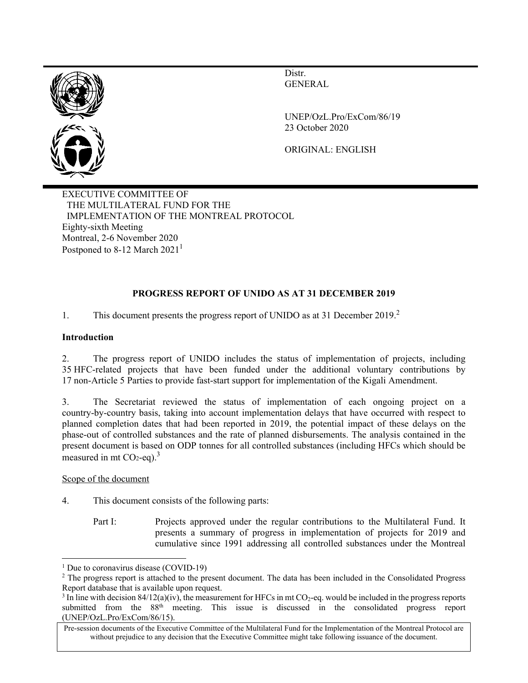

Distr. GENERAL

UNEP/OzL.Pro/ExCom/86/19 23 October 2020

ORIGINAL: ENGLISH

EXECUTIVE COMMITTEE OF THE MULTILATERAL FUND FOR THE IMPLEMENTATION OF THE MONTREAL PROTOCOL Eighty-sixth Meeting Montreal, 2-6 November 2020 Postponed to 8-12 March  $2021<sup>1</sup>$ 

## **PROGRESS REPORT OF UNIDO AS AT 31 DECEMBER 2019**

1. This document presents the progress report of UNIDO as at 31 December 2019.<sup>2</sup>

## **Introduction**

2. The progress report of UNIDO includes the status of implementation of projects, including 35 HFC-related projects that have been funded under the additional voluntary contributions by 17 non-Article 5 Parties to provide fast-start support for implementation of the Kigali Amendment.

3. The Secretariat reviewed the status of implementation of each ongoing project on a country-by-country basis, taking into account implementation delays that have occurred with respect to planned completion dates that had been reported in 2019, the potential impact of these delays on the phase-out of controlled substances and the rate of planned disbursements. The analysis contained in the present document is based on ODP tonnes for all controlled substances (including HFCs which should be measured in mt  $CO<sub>2</sub>$ -eq).<sup>3</sup>

## Scope of the document

- 4. This document consists of the following parts:
	- Part I: Projects approved under the regular contributions to the Multilateral Fund. It presents a summary of progress in implementation of projects for 2019 and cumulative since 1991 addressing all controlled substances under the Montreal

<sup>&</sup>lt;sup>1</sup> Due to coronavirus disease (COVID-19)

<sup>&</sup>lt;sup>2</sup> The progress report is attached to the present document. The data has been included in the Consolidated Progress Report database that is available upon request.

<sup>&</sup>lt;sup>3</sup> In line with decision  $84/12(a)(iv)$ , the measurement for HFCs in mt CO<sub>2</sub>-eq. would be included in the progress reports submitted from the 88<sup>th</sup> meeting. This issue is discussed in the consolidated progress report (UNEP/OzL.Pro/ExCom/86/15).

Pre-session documents of the Executive Committee of the Multilateral Fund for the Implementation of the Montreal Protocol are without prejudice to any decision that the Executive Committee might take following issuance of the document.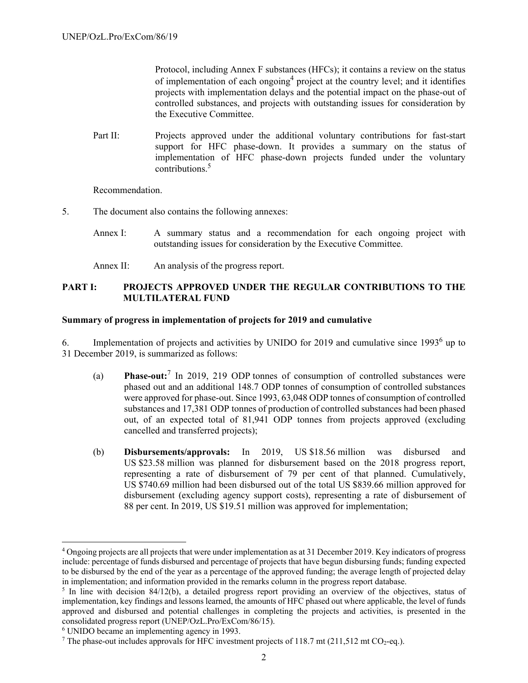Protocol, including Annex F substances (HFCs); it contains a review on the status of implementation of each ongoing<sup>4</sup> project at the country level; and it identifies projects with implementation delays and the potential impact on the phase-out of controlled substances, and projects with outstanding issues for consideration by the Executive Committee.

Part II: Projects approved under the additional voluntary contributions for fast-start support for HFC phase-down. It provides a summary on the status of implementation of HFC phase-down projects funded under the voluntary contributions.5

Recommendation.

- 5. The document also contains the following annexes:
	- Annex I: A summary status and a recommendation for each ongoing project with outstanding issues for consideration by the Executive Committee.
	- Annex II: An analysis of the progress report.

## **PART I: PROJECTS APPROVED UNDER THE REGULAR CONTRIBUTIONS TO THE MULTILATERAL FUND**

#### **Summary of progress in implementation of projects for 2019 and cumulative**

6. Implementation of projects and activities by UNIDO for 2019 and cumulative since  $1993<sup>6</sup>$  up to 31 December 2019, is summarized as follows:

- (a) **Phase-out:**<sup>7</sup> In 2019, 219 ODP tonnes of consumption of controlled substances were phased out and an additional 148.7 ODP tonnes of consumption of controlled substances were approved for phase-out. Since 1993, 63,048 ODP tonnes of consumption of controlled substances and 17,381 ODP tonnes of production of controlled substances had been phased out, of an expected total of 81,941 ODP tonnes from projects approved (excluding cancelled and transferred projects);
- (b) **Disbursements/approvals:** In 2019, US \$18.56 million was disbursed and US \$23.58 million was planned for disbursement based on the 2018 progress report, representing a rate of disbursement of 79 per cent of that planned. Cumulatively, US \$740.69 million had been disbursed out of the total US \$839.66 million approved for disbursement (excluding agency support costs), representing a rate of disbursement of 88 per cent. In 2019, US \$19.51 million was approved for implementation;

<sup>&</sup>lt;sup>4</sup> Ongoing projects are all projects that were under implementation as at 31 December 2019. Key indicators of progress include: percentage of funds disbursed and percentage of projects that have begun disbursing funds; funding expected to be disbursed by the end of the year as a percentage of the approved funding; the average length of projected delay in implementation; and information provided in the remarks column in the progress report database.

 $\frac{1}{2}$  In line with decision 84/12(b), a detailed progress report providing an overview of the objectives, status of implementation, key findings and lessons learned, the amounts of HFC phased out where applicable, the level of funds approved and disbursed and potential challenges in completing the projects and activities, is presented in the consolidated progress report (UNEP/OzL.Pro/ExCom/86/15).

<sup>6</sup> UNIDO became an implementing agency in 1993.

<sup>&</sup>lt;sup>7</sup> The phase-out includes approvals for HFC investment projects of 118.7 mt (211,512 mt CO<sub>2</sub>-eq.).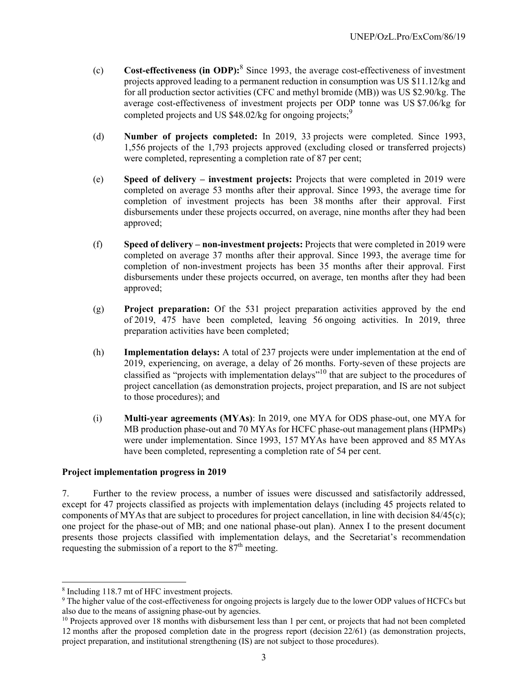- (c) **Cost-effectiveness (in ODP):**<sup>8</sup> Since 1993, the average cost-effectiveness of investment projects approved leading to a permanent reduction in consumption was US \$11.12/kg and for all production sector activities (CFC and methyl bromide (MB)) was US \$2.90/kg. The average cost-effectiveness of investment projects per ODP tonne was US \$7.06/kg for completed projects and US  $$48.02$ /kg for ongoing projects;<sup>9</sup>
- (d) **Number of projects completed:** In 2019, 33 projects were completed. Since 1993, 1,556 projects of the 1,793 projects approved (excluding closed or transferred projects) were completed, representing a completion rate of 87 per cent;
- (e) **Speed of delivery investment projects:** Projects that were completed in 2019 were completed on average 53 months after their approval. Since 1993, the average time for completion of investment projects has been 38 months after their approval. First disbursements under these projects occurred, on average, nine months after they had been approved;
- (f) **Speed of delivery non-investment projects:** Projects that were completed in 2019 were completed on average 37 months after their approval. Since 1993, the average time for completion of non-investment projects has been 35 months after their approval. First disbursements under these projects occurred, on average, ten months after they had been approved;
- (g) **Project preparation:** Of the 531 project preparation activities approved by the end of 2019, 475 have been completed, leaving 56 ongoing activities. In 2019, three preparation activities have been completed;
- (h) **Implementation delays:** A total of 237 projects were under implementation at the end of 2019, experiencing, on average, a delay of 26 months. Forty-seven of these projects are classified as "projects with implementation delays"10 that are subject to the procedures of project cancellation (as demonstration projects, project preparation, and IS are not subject to those procedures); and
- (i) **Multi-year agreements (MYAs)**: In 2019, one MYA for ODS phase-out, one MYA for MB production phase-out and 70 MYAs for HCFC phase-out management plans (HPMPs) were under implementation. Since 1993, 157 MYAs have been approved and 85 MYAs have been completed, representing a completion rate of 54 per cent.

## **Project implementation progress in 2019**

7. Further to the review process, a number of issues were discussed and satisfactorily addressed, except for 47 projects classified as projects with implementation delays (including 45 projects related to components of MYAs that are subject to procedures for project cancellation, in line with decision 84/45(c); one project for the phase-out of MB; and one national phase-out plan). Annex I to the present document presents those projects classified with implementation delays, and the Secretariat's recommendation requesting the submission of a report to the  $87<sup>th</sup>$  meeting.

<sup>8</sup> Including 118.7 mt of HFC investment projects.

<sup>9</sup> The higher value of the cost-effectiveness for ongoing projects is largely due to the lower ODP values of HCFCs but also due to the means of assigning phase-out by agencies.

 $10$  Projects approved over 18 months with disbursement less than 1 per cent, or projects that had not been completed 12 months after the proposed completion date in the progress report (decision 22/61) (as demonstration projects, project preparation, and institutional strengthening (IS) are not subject to those procedures).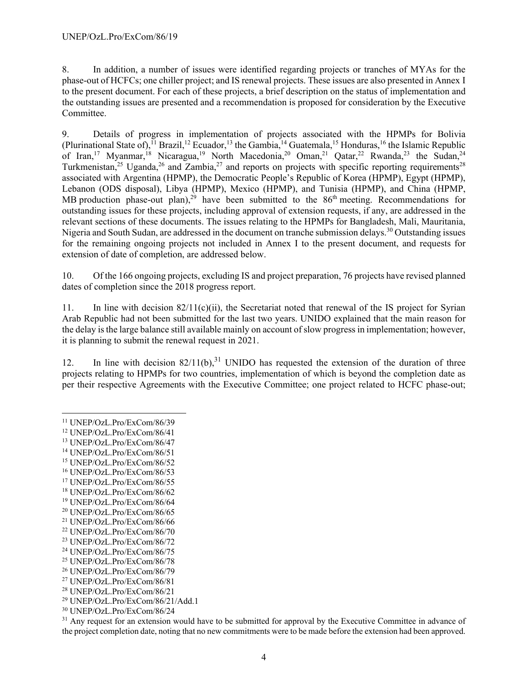8. In addition, a number of issues were identified regarding projects or tranches of MYAs for the phase-out of HCFCs; one chiller project; and IS renewal projects. These issues are also presented in Annex I to the present document. For each of these projects, a brief description on the status of implementation and the outstanding issues are presented and a recommendation is proposed for consideration by the Executive Committee.

9. Details of progress in implementation of projects associated with the HPMPs for Bolivia (Plurinational State of), <sup>11</sup> Brazil, <sup>12</sup> Ecuador, <sup>13</sup> the Gambia, <sup>14</sup> Guatemala, <sup>15</sup> Honduras, <sup>16</sup> the Islamic Republic of Iran,<sup>17</sup> Myanmar,<sup>18</sup> Nicaragua,<sup>19</sup> North Macedonia,<sup>20</sup> Oman,<sup>21</sup> Qatar,<sup>22</sup> Rwanda,<sup>23</sup> the Sudan,<sup>24</sup> Turkmenistan,<sup>25</sup> Uganda,<sup>26</sup> and Zambia,<sup>27</sup> and reports on projects with specific reporting requirements<sup>28</sup> associated with Argentina (HPMP), the Democratic People's Republic of Korea (HPMP), Egypt (HPMP), Lebanon (ODS disposal), Libya (HPMP), Mexico (HPMP), and Tunisia (HPMP), and China (HPMP, MB production phase-out plan),<sup>29</sup> have been submitted to the  $86<sup>th</sup>$  meeting. Recommendations for outstanding issues for these projects, including approval of extension requests, if any, are addressed in the relevant sections of these documents. The issues relating to the HPMPs for Bangladesh, Mali, Mauritania, Nigeria and South Sudan, are addressed in the document on tranche submission delays.<sup>30</sup> Outstanding issues for the remaining ongoing projects not included in Annex I to the present document, and requests for extension of date of completion, are addressed below.

10. Of the 166 ongoing projects, excluding IS and project preparation, 76 projects have revised planned dates of completion since the 2018 progress report.

11. In line with decision  $82/11(c)(ii)$ , the Secretariat noted that renewal of the IS project for Syrian Arab Republic had not been submitted for the last two years. UNIDO explained that the main reason for the delay is the large balance still available mainly on account of slow progress in implementation; however, it is planning to submit the renewal request in 2021.

12. In line with decision  $82/11(b)$ , <sup>31</sup> UNIDO has requested the extension of the duration of three projects relating to HPMPs for two countries, implementation of which is beyond the completion date as per their respective Agreements with the Executive Committee; one project related to HCFC phase-out;

- 18 UNEP/OzL.Pro/ExCom/86/62
- 19 UNEP/OzL.Pro/ExCom/86/64
- 20 UNEP/OzL.Pro/ExCom/86/65
- 21 UNEP/OzL.Pro/ExCom/86/66
- 22 UNEP/OzL.Pro/ExCom/86/70
- 23 UNEP/OzL.Pro/ExCom/86/72
- 24 UNEP/OzL.Pro/ExCom/86/75 25 UNEP/OzL.Pro/ExCom/86/78
- 26 UNEP/OzL.Pro/ExCom/86/79
- 27 UNEP/OzL.Pro/ExCom/86/81
- 28 UNEP/OzL.Pro/ExCom/86/21
- 
- 29 UNEP/OzL.Pro/ExCom/86/21/Add.1

<sup>31</sup> Any request for an extension would have to be submitted for approval by the Executive Committee in advance of the project completion date, noting that no new commitments were to be made before the extension had been approved.

<sup>11</sup> UNEP/OzL.Pro/ExCom/86/39

<sup>12</sup> UNEP/OzL.Pro/ExCom/86/41

<sup>13</sup> UNEP/OzL.Pro/ExCom/86/47

<sup>14</sup> UNEP/OzL.Pro/ExCom/86/51

<sup>15</sup> UNEP/OzL.Pro/ExCom/86/52

<sup>16</sup> UNEP/OzL.Pro/ExCom/86/53

<sup>17</sup> UNEP/OzL.Pro/ExCom/86/55

<sup>30</sup> UNEP/OzL.Pro/ExCom/86/24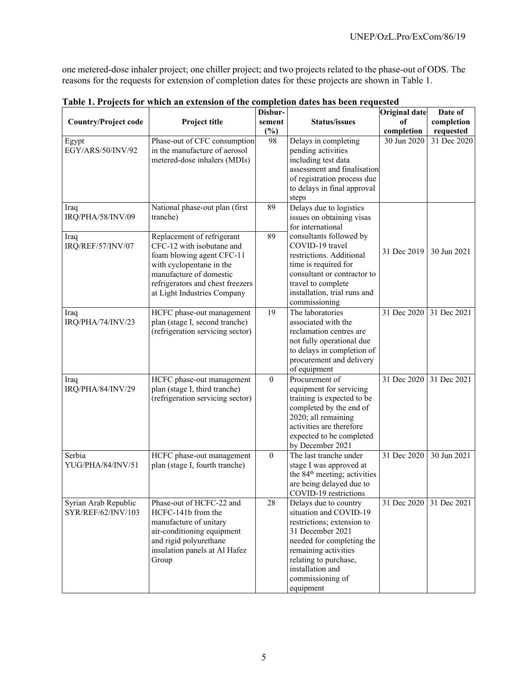one metered-dose inhaler project; one chiller project; and two projects related to the phase-out of ODS. The reasons for the requests for extension of completion dates for these projects are shown in Table 1.

| <b>Country/Project code</b>                | Project title                                                                                                                                                                                                  | Disbur-<br>sement<br>$(\%)$ | <b>Status/issues</b>                                                                                                                                                                                                                 | <b>Original date</b><br>of<br>completion | Date of<br>completion<br>requested |
|--------------------------------------------|----------------------------------------------------------------------------------------------------------------------------------------------------------------------------------------------------------------|-----------------------------|--------------------------------------------------------------------------------------------------------------------------------------------------------------------------------------------------------------------------------------|------------------------------------------|------------------------------------|
| Egypt<br>EGY/ARS/50/INV/92                 | Phase-out of CFC consumption<br>in the manufacture of aerosol<br>metered-dose inhalers (MDIs)                                                                                                                  | 98                          | Delays in completing<br>pending activities<br>including test data<br>assessment and finalisation<br>of registration process due<br>to delays in final approval<br>steps                                                              | 30 Jun 2020                              | 31 Dec 2020                        |
| Iraq<br>IRQ/PHA/58/INV/09                  | National phase-out plan (first<br>tranche)                                                                                                                                                                     | 89                          | Delays due to logistics<br>issues on obtaining visas<br>for international                                                                                                                                                            |                                          |                                    |
| Iraq<br>IRQ/REF/57/INV/07                  | Replacement of refrigerant<br>CFC-12 with isobutane and<br>foam blowing agent CFC-11<br>with cyclopentane in the<br>manufacture of domestic<br>refrigerators and chest freezers<br>at Light Industries Company | 89                          | consultants followed by<br>COVID-19 travel<br>restrictions. Additional<br>time is required for<br>consultant or contractor to<br>travel to complete<br>installation, trial runs and<br>commissioning                                 | 31 Dec 2019                              | 30 Jun 2021                        |
| Iraq<br>IRQ/PHA/74/INV/23                  | HCFC phase-out management<br>plan (stage I, second tranche)<br>(refrigeration servicing sector)                                                                                                                | 19                          | The laboratories<br>associated with the<br>reclamation centres are<br>not fully operational due<br>to delays in completion of<br>procurement and delivery<br>of equipment                                                            | 31 Dec 2020                              | 31 Dec 2021                        |
| Iraq<br>IRQ/PHA/84/INV/29                  | HCFC phase-out management<br>plan (stage I, third tranche)<br>(refrigeration servicing sector)                                                                                                                 | $\mathbf{0}$                | Procurement of<br>equipment for servicing<br>training is expected to be<br>completed by the end of<br>2020; all remaining<br>activities are therefore<br>expected to be completed<br>by December 2021                                | 31 Dec 2020                              | 31 Dec 2021                        |
| Serbia<br>YUG/PHA/84/INV/51                | HCFC phase-out management<br>plan (stage I, fourth tranche)                                                                                                                                                    | $\theta$                    | The last tranche under<br>stage I was approved at<br>the 84 <sup>th</sup> meeting; activities<br>are being delayed due to<br>COVID-19 restrictions                                                                                   | 31 Dec 2020                              | 30 Jun 2021                        |
| Syrian Arab Republic<br>SYR/REF/62/INV/103 | Phase-out of HCFC-22 and<br>HCFC-141b from the<br>manufacture of unitary<br>air-conditioning equipment<br>and rigid polyurethane<br>insulation panels at Al Hafez<br>Group                                     | 28                          | Delays due to country<br>situation and COVID-19<br>restrictions; extension to<br>31 December 2021<br>needed for completing the<br>remaining activities<br>relating to purchase,<br>installation and<br>commissioning of<br>equipment | 31 Dec 2020                              | 31 Dec 2021                        |

**Table 1. Projects for which an extension of the completion dates has been requested**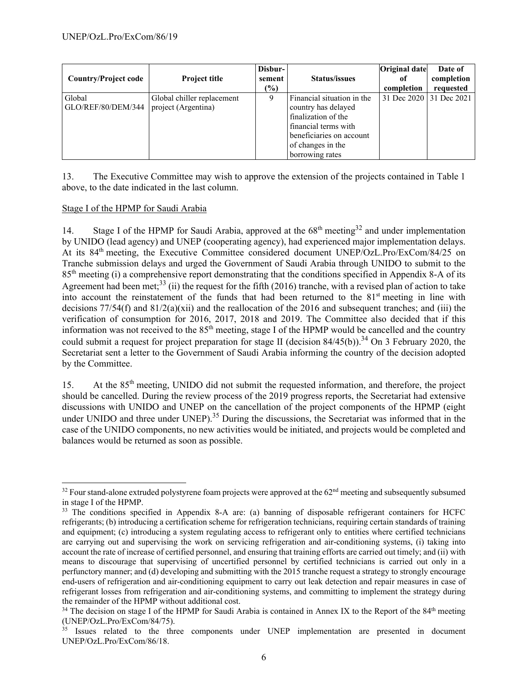| <b>Country/Project code</b>  | <b>Project title</b>                              | Disbur-<br>sement<br>$(\%)$ | <b>Status/issues</b>                                                                                                                                                 | <b>Original date</b><br>-of<br>completion | Date of<br>completion<br>requested |
|------------------------------|---------------------------------------------------|-----------------------------|----------------------------------------------------------------------------------------------------------------------------------------------------------------------|-------------------------------------------|------------------------------------|
| Global<br>GLO/REF/80/DEM/344 | Global chiller replacement<br>project (Argentina) | 9                           | Financial situation in the<br>country has delayed<br>finalization of the<br>financial terms with<br>beneficiaries on account<br>of changes in the<br>borrowing rates | 31 Dec 2020 31 Dec 2021                   |                                    |

13. The Executive Committee may wish to approve the extension of the projects contained in Table 1 above, to the date indicated in the last column.

## Stage I of the HPMP for Saudi Arabia

14. Stage I of the HPMP for Saudi Arabia, approved at the  $68<sup>th</sup>$  meeting<sup>32</sup> and under implementation by UNIDO (lead agency) and UNEP (cooperating agency), had experienced major implementation delays. At its 84<sup>th</sup> meeting, the Executive Committee considered document UNEP/OzL.Pro/ExCom/84/25 on Tranche submission delays and urged the Government of Saudi Arabia through UNIDO to submit to the 85<sup>th</sup> meeting (i) a comprehensive report demonstrating that the conditions specified in Appendix 8-A of its Agreement had been met;<sup>33</sup> (ii) the request for the fifth (2016) tranche, with a revised plan of action to take into account the reinstatement of the funds that had been returned to the 81<sup>st</sup> meeting in line with decisions  $77/54(f)$  and  $81/2(a)(xii)$  and the reallocation of the 2016 and subsequent tranches; and (iii) the verification of consumption for 2016, 2017, 2018 and 2019. The Committee also decided that if this information was not received to the  $85<sup>th</sup>$  meeting, stage I of the HPMP would be cancelled and the country could submit a request for project preparation for stage II (decision 84/45(b)).<sup>34</sup> On 3 February 2020, the Secretariat sent a letter to the Government of Saudi Arabia informing the country of the decision adopted by the Committee.

15. At the 85<sup>th</sup> meeting, UNIDO did not submit the requested information, and therefore, the project should be cancelled. During the review process of the 2019 progress reports, the Secretariat had extensive discussions with UNIDO and UNEP on the cancellation of the project components of the HPMP (eight under UNIDO and three under UNEP).<sup>35</sup> During the discussions, the Secretariat was informed that in the case of the UNIDO components, no new activities would be initiated, and projects would be completed and balances would be returned as soon as possible.

<sup>&</sup>lt;sup>32</sup> Four stand-alone extruded polystyrene foam projects were approved at the 62<sup>nd</sup> meeting and subsequently subsumed in stage I of the HPMP.

<sup>&</sup>lt;sup>33</sup> The conditions specified in Appendix 8-A are: (a) banning of disposable refrigerant containers for HCFC refrigerants; (b) introducing a certification scheme for refrigeration technicians, requiring certain standards of training and equipment; (c) introducing a system regulating access to refrigerant only to entities where certified technicians are carrying out and supervising the work on servicing refrigeration and air-conditioning systems, (i) taking into account the rate of increase of certified personnel, and ensuring that training efforts are carried out timely; and (ii) with means to discourage that supervising of uncertified personnel by certified technicians is carried out only in a perfunctory manner; and (d) developing and submitting with the 2015 tranche request a strategy to strongly encourage end-users of refrigeration and air-conditioning equipment to carry out leak detection and repair measures in case of refrigerant losses from refrigeration and air-conditioning systems, and committing to implement the strategy during the remainder of the HPMP without additional cost.

<sup>&</sup>lt;sup>34</sup> The decision on stage I of the HPMP for Saudi Arabia is contained in Annex IX to the Report of the 84<sup>th</sup> meeting (UNEP/OzL.Pro/ExCom/84/75).

 $35$  Issues related to the three components under UNEP implementation are presented in document UNEP/OzL.Pro/ExCom/86/18.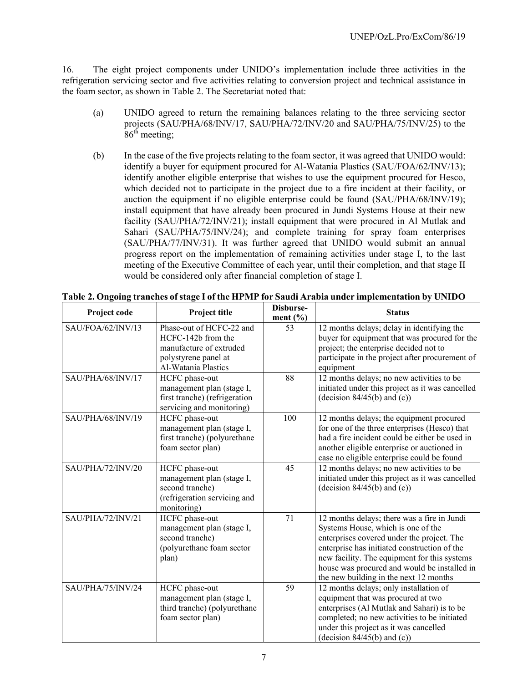16. The eight project components under UNIDO's implementation include three activities in the refrigeration servicing sector and five activities relating to conversion project and technical assistance in the foam sector, as shown in Table 2. The Secretariat noted that:

- (a) UNIDO agreed to return the remaining balances relating to the three servicing sector projects (SAU/PHA/68/INV/17, SAU/PHA/72/INV/20 and SAU/PHA/75/INV/25) to the  $86<sup>th</sup>$  meeting;
- (b) In the case of the five projects relating to the foam sector, it was agreed that UNIDO would: identify a buyer for equipment procured for Al-Watania Plastics (SAU/FOA/62/INV/13); identify another eligible enterprise that wishes to use the equipment procured for Hesco, which decided not to participate in the project due to a fire incident at their facility, or auction the equipment if no eligible enterprise could be found (SAU/PHA/68/INV/19); install equipment that have already been procured in Jundi Systems House at their new facility (SAU/PHA/72/INV/21); install equipment that were procured in Al Mutlak and Sahari (SAU/PHA/75/INV/24); and complete training for spray foam enterprises (SAU/PHA/77/INV/31). It was further agreed that UNIDO would submit an annual progress report on the implementation of remaining activities under stage I, to the last meeting of the Executive Committee of each year, until their completion, and that stage II would be considered only after financial completion of stage I.

| Project code      | Project title                                                                                                            | Disburse-<br>ment $(\% )$ | <b>Status</b>                                                                                                                                                                                                                                                                                                             |
|-------------------|--------------------------------------------------------------------------------------------------------------------------|---------------------------|---------------------------------------------------------------------------------------------------------------------------------------------------------------------------------------------------------------------------------------------------------------------------------------------------------------------------|
| SAU/FOA/62/INV/13 | Phase-out of HCFC-22 and<br>HCFC-142b from the<br>manufacture of extruded<br>polystyrene panel at<br>Al-Watania Plastics | 53                        | 12 months delays; delay in identifying the<br>buyer for equipment that was procured for the<br>project; the enterprise decided not to<br>participate in the project after procurement of<br>equipment                                                                                                                     |
| SAU/PHA/68/INV/17 | HCFC phase-out<br>management plan (stage I,<br>first tranche) (refrigeration<br>servicing and monitoring)                | 88                        | 12 months delays; no new activities to be<br>initiated under this project as it was cancelled<br>(decision $84/45(b)$ and (c))                                                                                                                                                                                            |
| SAU/PHA/68/INV/19 | HCFC phase-out<br>management plan (stage I,<br>first tranche) (polyurethane<br>foam sector plan)                         | 100                       | 12 months delays; the equipment procured<br>for one of the three enterprises (Hesco) that<br>had a fire incident could be either be used in<br>another eligible enterprise or auctioned in<br>case no eligible enterprise could be found                                                                                  |
| SAU/PHA/72/INV/20 | HCFC phase-out<br>management plan (stage I,<br>second tranche)<br>(refrigeration servicing and<br>monitoring)            | 45                        | 12 months delays; no new activities to be<br>initiated under this project as it was cancelled<br>(decision $84/45(b)$ and (c))                                                                                                                                                                                            |
| SAU/PHA/72/INV/21 | HCFC phase-out<br>management plan (stage I,<br>second tranche)<br>(polyurethane foam sector<br>plan)                     | 71                        | 12 months delays; there was a fire in Jundi<br>Systems House, which is one of the<br>enterprises covered under the project. The<br>enterprise has initiated construction of the<br>new facility. The equipment for this systems<br>house was procured and would be installed in<br>the new building in the next 12 months |
| SAU/PHA/75/INV/24 | HCFC phase-out<br>management plan (stage I,<br>third tranche) (polyurethane<br>foam sector plan)                         | 59                        | 12 months delays; only installation of<br>equipment that was procured at two<br>enterprises (Al Mutlak and Sahari) is to be<br>completed; no new activities to be initiated<br>under this project as it was cancelled<br>(decision $84/45(b)$ and (c))                                                                    |

**Table 2. Ongoing tranches of stage I of the HPMP for Saudi Arabia under implementation by UNIDO**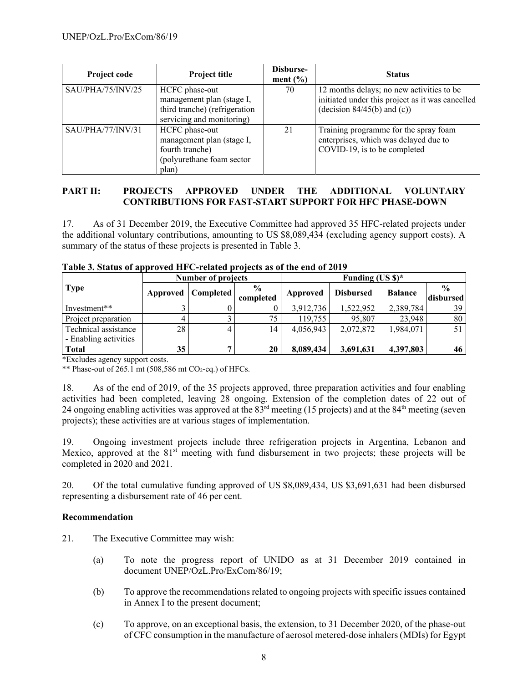| Project code      | <b>Project title</b>                                                                                      | Disburse-<br>ment $(\% )$ | <b>Status</b>                                                                                                                  |
|-------------------|-----------------------------------------------------------------------------------------------------------|---------------------------|--------------------------------------------------------------------------------------------------------------------------------|
| SAU/PHA/75/INV/25 | HCFC phase-out<br>management plan (stage I,<br>third tranche) (refrigeration<br>servicing and monitoring) | 70                        | 12 months delays; no new activities to be<br>initiated under this project as it was cancelled<br>(decision $84/45(b)$ and (c)) |
| SAU/PHA/77/INV/31 | HCFC phase-out<br>management plan (stage I,<br>fourth tranche)<br>(polyurethane foam sector<br>plan)      | 21                        | Training programme for the spray foam<br>enterprises, which was delayed due to<br>COVID-19, is to be completed                 |

## **PART II: PROJECTS APPROVED UNDER THE ADDITIONAL VOLUNTARY CONTRIBUTIONS FOR FAST-START SUPPORT FOR HFC PHASE-DOWN**

17. As of 31 December 2019, the Executive Committee had approved 35 HFC-related projects under the additional voluntary contributions, amounting to US \$8,089,434 (excluding agency support costs). A summary of the status of these projects is presented in Table 3.

|                                               |          | <b>Number of projects</b> |                            | Funding $(US S)^*$ |                  |                |                            |
|-----------------------------------------------|----------|---------------------------|----------------------------|--------------------|------------------|----------------|----------------------------|
| <b>Type</b>                                   | Approved | <b>Completed</b>          | $\frac{6}{9}$<br>completed | Approved           | <b>Disbursed</b> | <b>Balance</b> | $\frac{0}{0}$<br>disbursed |
| Investment**                                  |          |                           |                            | 3,912,736          | 1,522,952        | 2,389,784      | 39                         |
| Project preparation                           | 4        |                           | 75                         | 119,755            | 95,807           | 23,948         | 80                         |
| Technical assistance<br>- Enabling activities | 28       |                           | 14                         | 4,056,943          | 2,072,872        | 1,984,071      | 51                         |
| <b>Total</b>                                  | 35       |                           | 20                         | 8,089,434          | 3,691,631        | 4,397,803      | 46                         |

#### **Table 3. Status of approved HFC-related projects as of the end of 2019**

\*Excludes agency support costs.

\*\* Phase-out of  $265.1$  mt  $(508,586$  mt CO<sub>2</sub>-eq.) of HFCs.

18. As of the end of 2019, of the 35 projects approved, three preparation activities and four enabling activities had been completed, leaving 28 ongoing. Extension of the completion dates of 22 out of 24 ongoing enabling activities was approved at the 83<sup>rd</sup> meeting (15 projects) and at the 84<sup>th</sup> meeting (seven projects); these activities are at various stages of implementation.

19. Ongoing investment projects include three refrigeration projects in Argentina, Lebanon and Mexico, approved at the  $81<sup>st</sup>$  meeting with fund disbursement in two projects; these projects will be completed in 2020 and 2021.

20. Of the total cumulative funding approved of US \$8,089,434, US \$3,691,631 had been disbursed representing a disbursement rate of 46 per cent.

## **Recommendation**

21. The Executive Committee may wish:

- (a) To note the progress report of UNIDO as at 31 December 2019 contained in document UNEP/OzL.Pro/ExCom/86/19;
- (b) To approve the recommendations related to ongoing projects with specific issues contained in Annex I to the present document;
- (c) To approve, on an exceptional basis, the extension, to 31 December 2020, of the phase-out of CFC consumption in the manufacture of aerosol metered-dose inhalers (MDIs) for Egypt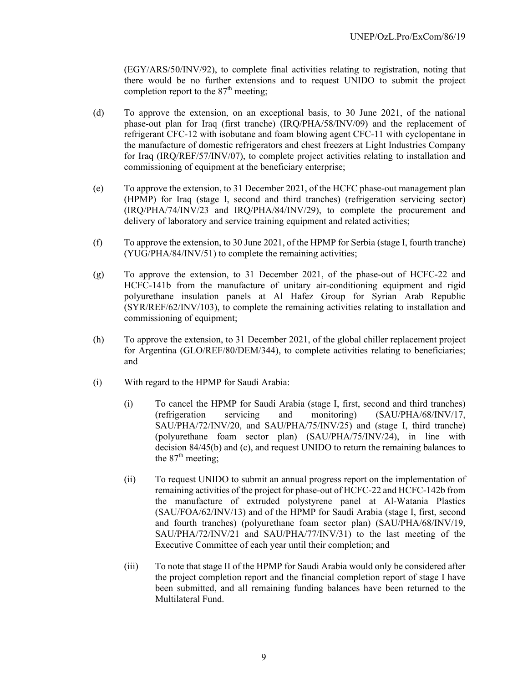(EGY/ARS/50/INV/92), to complete final activities relating to registration, noting that there would be no further extensions and to request UNIDO to submit the project completion report to the  $87<sup>th</sup>$  meeting;

- (d) To approve the extension, on an exceptional basis, to 30 June 2021, of the national phase-out plan for Iraq (first tranche) (IRQ/PHA/58/INV/09) and the replacement of refrigerant CFC-12 with isobutane and foam blowing agent CFC-11 with cyclopentane in the manufacture of domestic refrigerators and chest freezers at Light Industries Company for Iraq (IRQ/REF/57/INV/07), to complete project activities relating to installation and commissioning of equipment at the beneficiary enterprise;
- (e) To approve the extension, to 31 December 2021, of the HCFC phase-out management plan (HPMP) for Iraq (stage I, second and third tranches) (refrigeration servicing sector) (IRQ/PHA/74/INV/23 and IRQ/PHA/84/INV/29), to complete the procurement and delivery of laboratory and service training equipment and related activities;
- (f) To approve the extension, to 30 June 2021, of the HPMP for Serbia (stage I, fourth tranche) (YUG/PHA/84/INV/51) to complete the remaining activities;
- (g) To approve the extension, to 31 December 2021, of the phase-out of HCFC-22 and HCFC-141b from the manufacture of unitary air-conditioning equipment and rigid polyurethane insulation panels at Al Hafez Group for Syrian Arab Republic (SYR/REF/62/INV/103), to complete the remaining activities relating to installation and commissioning of equipment;
- (h) To approve the extension, to 31 December 2021, of the global chiller replacement project for Argentina (GLO/REF/80/DEM/344), to complete activities relating to beneficiaries; and
- (i) With regard to the HPMP for Saudi Arabia:
	- (i) To cancel the HPMP for Saudi Arabia (stage I, first, second and third tranches) (refrigeration servicing and monitoring) (SAU/PHA/68/INV/17, SAU/PHA/72/INV/20, and SAU/PHA/75/INV/25) and (stage I, third tranche) (polyurethane foam sector plan) (SAU/PHA/75/INV/24), in line with decision 84/45(b) and (c), and request UNIDO to return the remaining balances to the  $87<sup>th</sup>$  meeting;
	- (ii) To request UNIDO to submit an annual progress report on the implementation of remaining activities of the project for phase-out of HCFC-22 and HCFC-142b from the manufacture of extruded polystyrene panel at Al-Watania Plastics (SAU/FOA/62/INV/13) and of the HPMP for Saudi Arabia (stage I, first, second and fourth tranches) (polyurethane foam sector plan) (SAU/PHA/68/INV/19, SAU/PHA/72/INV/21 and SAU/PHA/77/INV/31) to the last meeting of the Executive Committee of each year until their completion; and
	- (iii) To note that stage II of the HPMP for Saudi Arabia would only be considered after the project completion report and the financial completion report of stage I have been submitted, and all remaining funding balances have been returned to the Multilateral Fund.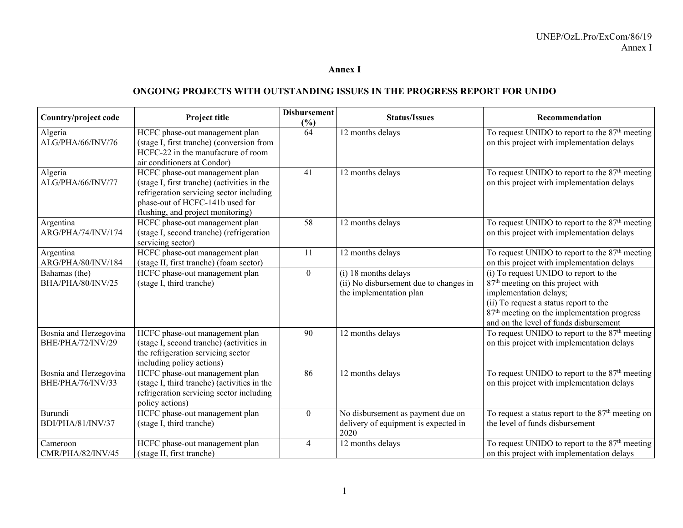#### **Annex I**

## **ONGOING PROJECTS WITH OUTSTANDING ISSUES IN THE PROGRESS REPORT FOR UNIDO**

| Country/project code                        | <b>Project title</b>                                                                                                                                                                              | <b>Disbursement</b><br>(%) | <b>Status/Issues</b>                                                                      | Recommendation                                                                                                                                                                                                                                                  |
|---------------------------------------------|---------------------------------------------------------------------------------------------------------------------------------------------------------------------------------------------------|----------------------------|-------------------------------------------------------------------------------------------|-----------------------------------------------------------------------------------------------------------------------------------------------------------------------------------------------------------------------------------------------------------------|
| Algeria<br>ALG/PHA/66/INV/76                | HCFC phase-out management plan<br>(stage I, first tranche) (conversion from<br>HCFC-22 in the manufacture of room<br>air conditioners at Condor)                                                  | 64                         | 12 months delays                                                                          | To request UNIDO to report to the $87th$ meeting<br>on this project with implementation delays                                                                                                                                                                  |
| Algeria<br>ALG/PHA/66/INV/77                | HCFC phase-out management plan<br>(stage I, first tranche) (activities in the<br>refrigeration servicing sector including<br>phase-out of HCFC-141b used for<br>flushing, and project monitoring) | 41                         | 12 months delays                                                                          | To request UNIDO to report to the 87 <sup>th</sup> meeting<br>on this project with implementation delays                                                                                                                                                        |
| Argentina<br>ARG/PHA/74/INV/174             | HCFC phase-out management plan<br>(stage I, second tranche) (refrigeration<br>servicing sector)                                                                                                   | 58                         | 12 months delays                                                                          | To request UNIDO to report to the 87 <sup>th</sup> meeting<br>on this project with implementation delays                                                                                                                                                        |
| Argentina<br>ARG/PHA/80/INV/184             | HCFC phase-out management plan<br>(stage II, first tranche) (foam sector)                                                                                                                         | <sup>11</sup>              | 12 months delays                                                                          | To request UNIDO to report to the $87th$ meeting<br>on this project with implementation delays                                                                                                                                                                  |
| Bahamas (the)<br>BHA/PHA/80/INV/25          | HCFC phase-out management plan<br>(stage I, third tranche)                                                                                                                                        | $\theta$                   | (i) 18 months delays<br>(ii) No disbursement due to changes in<br>the implementation plan | (i) To request UNIDO to report to the<br>87 <sup>th</sup> meeting on this project with<br>implementation delays;<br>(ii) To request a status report to the<br>87 <sup>th</sup> meeting on the implementation progress<br>and on the level of funds disbursement |
| Bosnia and Herzegovina<br>BHE/PHA/72/INV/29 | HCFC phase-out management plan<br>(stage I, second tranche) (activities in<br>the refrigeration servicing sector<br>including policy actions)                                                     | 90                         | 12 months delays                                                                          | To request UNIDO to report to the $87th$ meeting<br>on this project with implementation delays                                                                                                                                                                  |
| Bosnia and Herzegovina<br>BHE/PHA/76/INV/33 | HCFC phase-out management plan<br>(stage I, third tranche) (activities in the<br>refrigeration servicing sector including<br>policy actions)                                                      | 86                         | 12 months delays                                                                          | To request UNIDO to report to the 87 <sup>th</sup> meeting<br>on this project with implementation delays                                                                                                                                                        |
| Burundi<br>BDI/PHA/81/INV/37                | HCFC phase-out management plan<br>(stage I, third tranche)                                                                                                                                        | $\theta$                   | No disbursement as payment due on<br>delivery of equipment is expected in<br>2020         | To request a status report to the $87th$ meeting on<br>the level of funds disbursement                                                                                                                                                                          |
| Cameroon<br>CMR/PHA/82/INV/45               | HCFC phase-out management plan<br>(stage II, first tranche)                                                                                                                                       | 4                          | 12 months delays                                                                          | To request UNIDO to report to the $87th$ meeting<br>on this project with implementation delays                                                                                                                                                                  |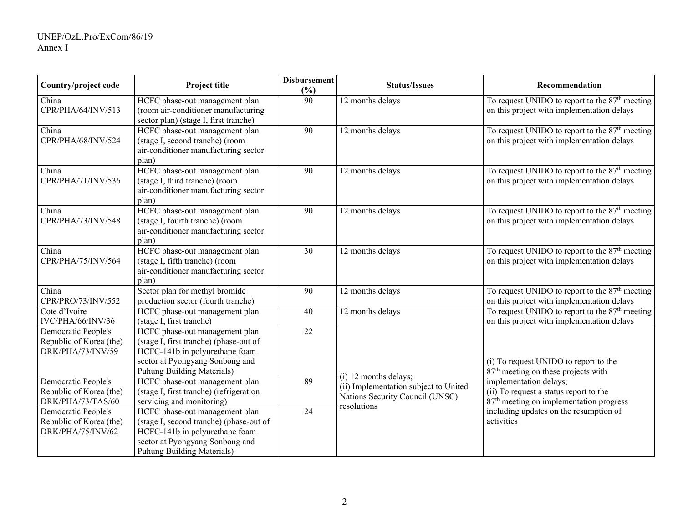| Country/project code                                                | Project title                                                                                                                                                                | <b>Disbursement</b><br>$(\%)$ | <b>Status/Issues</b>                                                                              | Recommendation                                                                                                          |
|---------------------------------------------------------------------|------------------------------------------------------------------------------------------------------------------------------------------------------------------------------|-------------------------------|---------------------------------------------------------------------------------------------------|-------------------------------------------------------------------------------------------------------------------------|
| China<br>CPR/PHA/64/INV/513                                         | HCFC phase-out management plan<br>(room air-conditioner manufacturing<br>sector plan) (stage I, first tranche)                                                               | 90                            | 12 months delays                                                                                  | To request UNIDO to report to the $87th$ meeting<br>on this project with implementation delays                          |
| China<br>CPR/PHA/68/INV/524                                         | HCFC phase-out management plan<br>(stage I, second tranche) (room<br>air-conditioner manufacturing sector<br>plan)                                                           | 90                            | 12 months delays                                                                                  | To request UNIDO to report to the 87 <sup>th</sup> meeting<br>on this project with implementation delays                |
| China<br>CPR/PHA/71/INV/536                                         | HCFC phase-out management plan<br>(stage I, third tranche) (room<br>air-conditioner manufacturing sector<br>plan)                                                            | 90                            | 12 months delays                                                                                  | To request UNIDO to report to the 87 <sup>th</sup> meeting<br>on this project with implementation delays                |
| China<br>CPR/PHA/73/INV/548                                         | HCFC phase-out management plan<br>(stage I, fourth tranche) (room<br>air-conditioner manufacturing sector<br>plan)                                                           | 90                            | 12 months delays                                                                                  | To request UNIDO to report to the 87 <sup>th</sup> meeting<br>on this project with implementation delays                |
| China<br>CPR/PHA/75/INV/564                                         | HCFC phase-out management plan<br>(stage I, fifth tranche) (room<br>air-conditioner manufacturing sector<br>plan)                                                            | 30                            | 12 months delays                                                                                  | To request UNIDO to report to the $87th$ meeting<br>on this project with implementation delays                          |
| China<br>CPR/PRO/73/INV/552                                         | Sector plan for methyl bromide<br>production sector (fourth tranche)                                                                                                         | 90                            | 12 months delays                                                                                  | To request UNIDO to report to the $87th$ meeting<br>on this project with implementation delays                          |
| Cote d'Ivoire<br>IVC/PHA/66/INV/36                                  | HCFC phase-out management plan<br>(stage I, first tranche)                                                                                                                   | 40                            | 12 months delays                                                                                  | To request UNIDO to report to the $87th$ meeting<br>on this project with implementation delays                          |
| Democratic People's<br>Republic of Korea (the)<br>DRK/PHA/73/INV/59 | HCFC phase-out management plan<br>(stage I, first tranche) (phase-out of<br>HCFC-141b in polyurethane foam<br>sector at Pyongyang Sonbong and<br>Puhung Building Materials)  | 22                            |                                                                                                   | (i) To request UNIDO to report to the<br>87 <sup>th</sup> meeting on these projects with                                |
| Democratic People's<br>Republic of Korea (the)<br>DRK/PHA/73/TAS/60 | HCFC phase-out management plan<br>(stage I, first tranche) (refrigeration<br>servicing and monitoring)                                                                       | 89                            | (i) 12 months delays;<br>(ii) Implementation subject to United<br>Nations Security Council (UNSC) | implementation delays;<br>(ii) To request a status report to the<br>87 <sup>th</sup> meeting on implementation progress |
| Democratic People's<br>Republic of Korea (the)<br>DRK/PHA/75/INV/62 | HCFC phase-out management plan<br>(stage I, second tranche) (phase-out of<br>HCFC-141b in polyurethane foam<br>sector at Pyongyang Sonbong and<br>Puhung Building Materials) | 24                            | resolutions                                                                                       | including updates on the resumption of<br>activities                                                                    |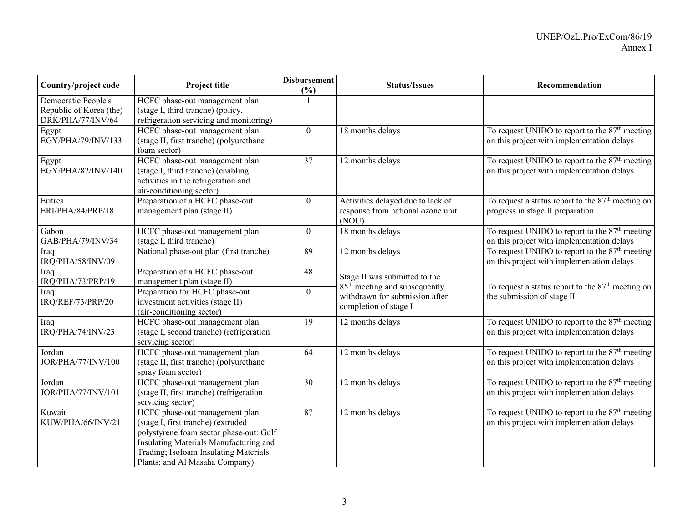| Country/project code                                                | Project title                                                                                                                                                                                                                        | <b>Disbursement</b><br>(%) | <b>Status/Issues</b>                                                                                 | Recommendation                                                                                           |
|---------------------------------------------------------------------|--------------------------------------------------------------------------------------------------------------------------------------------------------------------------------------------------------------------------------------|----------------------------|------------------------------------------------------------------------------------------------------|----------------------------------------------------------------------------------------------------------|
| Democratic People's<br>Republic of Korea (the)<br>DRK/PHA/77/INV/64 | HCFC phase-out management plan<br>(stage I, third tranche) (policy,<br>refrigeration servicing and monitoring)                                                                                                                       |                            |                                                                                                      |                                                                                                          |
| Egypt<br>EGY/PHA/79/INV/133                                         | HCFC phase-out management plan<br>(stage II, first tranche) (polyurethane<br>foam sector)                                                                                                                                            | $\theta$                   | 18 months delays                                                                                     | To request UNIDO to report to the 87 <sup>th</sup> meeting<br>on this project with implementation delays |
| Egypt<br>EGY/PHA/82/INV/140                                         | HCFC phase-out management plan<br>(stage I, third tranche) (enabling<br>activities in the refrigeration and<br>air-conditioning sector)                                                                                              | 37                         | 12 months delays                                                                                     | To request UNIDO to report to the $87th$ meeting<br>on this project with implementation delays           |
| Eritrea<br>ERI/PHA/84/PRP/18                                        | Preparation of a HCFC phase-out<br>management plan (stage II)                                                                                                                                                                        | $\boldsymbol{0}$           | Activities delayed due to lack of<br>response from national ozone unit<br>(NOU)                      | To request a status report to the 87 <sup>th</sup> meeting on<br>progress in stage II preparation        |
| Gabon<br>GAB/PHA/79/INV/34                                          | HCFC phase-out management plan<br>(stage I, third tranche)                                                                                                                                                                           | $\boldsymbol{0}$           | 18 months delays                                                                                     | To request UNIDO to report to the 87 <sup>th</sup> meeting<br>on this project with implementation delays |
| Iraq<br>IRQ/PHA/58/INV/09                                           | National phase-out plan (first tranche)                                                                                                                                                                                              | 89                         | 12 months delays                                                                                     | To request UNIDO to report to the 87 <sup>th</sup> meeting<br>on this project with implementation delays |
| Iraq<br>IRQ/PHA/73/PRP/19                                           | Preparation of a HCFC phase-out<br>management plan (stage II)                                                                                                                                                                        | 48                         | Stage II was submitted to the                                                                        | To request a status report to the $87th$ meeting on                                                      |
| Iraq<br>IRQ/REF/73/PRP/20                                           | Preparation for HCFC phase-out<br>investment activities (stage II)<br>(air-conditioning sector)                                                                                                                                      | $\boldsymbol{0}$           | 85 <sup>th</sup> meeting and subsequently<br>withdrawn for submission after<br>completion of stage I | the submission of stage II                                                                               |
| Iraq<br>IRQ/PHA/74/INV/23                                           | HCFC phase-out management plan<br>(stage I, second tranche) (refrigeration<br>servicing sector)                                                                                                                                      | 19                         | 12 months delays                                                                                     | To request UNIDO to report to the $87th$ meeting<br>on this project with implementation delays           |
| Jordan<br>JOR/PHA/77/INV/100                                        | HCFC phase-out management plan<br>(stage II, first tranche) (polyurethane<br>spray foam sector)                                                                                                                                      | 64                         | 12 months delays                                                                                     | To request UNIDO to report to the $87th$ meeting<br>on this project with implementation delays           |
| Jordan<br>JOR/PHA/77/INV/101                                        | HCFC phase-out management plan<br>(stage II, first tranche) (refrigeration<br>servicing sector)                                                                                                                                      | 30                         | 12 months delays                                                                                     | To request UNIDO to report to the $87th$ meeting<br>on this project with implementation delays           |
| Kuwait<br>KUW/PHA/66/INV/21                                         | HCFC phase-out management plan<br>(stage I, first tranche) (extruded<br>polystyrene foam sector phase-out: Gulf<br>Insulating Materials Manufacturing and<br>Trading; Isofoam Insulating Materials<br>Plants; and Al Masaha Company) | 87                         | 12 months delays                                                                                     | To request UNIDO to report to the $87th$ meeting<br>on this project with implementation delays           |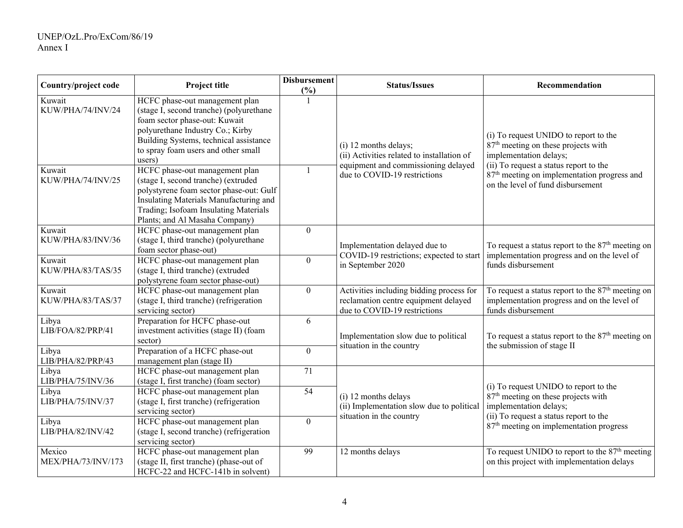| Country/project code         | Project title                                                                                                                                                                                                                             | <b>Disbursement</b><br>(%) | <b>Status/Issues</b>                                                                                             | Recommendation                                                                                                                                               |
|------------------------------|-------------------------------------------------------------------------------------------------------------------------------------------------------------------------------------------------------------------------------------------|----------------------------|------------------------------------------------------------------------------------------------------------------|--------------------------------------------------------------------------------------------------------------------------------------------------------------|
| Kuwait<br>KUW/PHA/74/INV/24  | HCFC phase-out management plan<br>(stage I, second tranche) (polyurethane<br>foam sector phase-out: Kuwait<br>polyurethane Industry Co.; Kirby<br>Building Systems, technical assistance<br>to spray foam users and other small<br>users) |                            | (i) 12 months delays;<br>(ii) Activities related to installation of                                              | (i) To request UNIDO to report to the<br>87 <sup>th</sup> meeting on these projects with<br>implementation delays;                                           |
| Kuwait<br>KUW/PHA/74/INV/25  | HCFC phase-out management plan<br>(stage I, second tranche) (extruded<br>polystyrene foam sector phase-out: Gulf<br>Insulating Materials Manufacturing and<br>Trading; Isofoam Insulating Materials<br>Plants; and Al Masaha Company)     |                            | equipment and commissioning delayed<br>due to COVID-19 restrictions                                              | (ii) To request a status report to the<br>87 <sup>th</sup> meeting on implementation progress and<br>on the level of fund disbursement                       |
| Kuwait<br>KUW/PHA/83/INV/36  | HCFC phase-out management plan<br>(stage I, third tranche) (polyurethane<br>foam sector phase-out)                                                                                                                                        | $\mathbf{0}$               | Implementation delayed due to<br>COVID-19 restrictions; expected to start<br>in September 2020                   | To request a status report to the $87th$ meeting on<br>implementation progress and on the level of<br>funds disbursement                                     |
| Kuwait<br>KUW/PHA/83/TAS/35  | HCFC phase-out management plan<br>(stage I, third tranche) (extruded<br>polystyrene foam sector phase-out)                                                                                                                                | $\boldsymbol{0}$           |                                                                                                                  |                                                                                                                                                              |
| Kuwait<br>KUW/PHA/83/TAS/37  | HCFC phase-out management plan<br>(stage I, third tranche) (refrigeration<br>servicing sector)                                                                                                                                            | $\mathbf{0}$               | Activities including bidding process for<br>reclamation centre equipment delayed<br>due to COVID-19 restrictions | To request a status report to the 87 <sup>th</sup> meeting on<br>implementation progress and on the level of<br>funds disbursement                           |
| Libya<br>LIB/FOA/82/PRP/41   | Preparation for HCFC phase-out<br>investment activities (stage II) (foam<br>sector)                                                                                                                                                       | 6                          | Implementation slow due to political                                                                             | To request a status report to the $87th$ meeting on                                                                                                          |
| Libya<br>LIB/PHA/82/PRP/43   | Preparation of a HCFC phase-out<br>management plan (stage II)                                                                                                                                                                             | $\mathbf{0}$               | situation in the country                                                                                         | the submission of stage II                                                                                                                                   |
| Libya<br>LIB/PHA/75/INV/36   | HCFC phase-out management plan<br>(stage I, first tranche) (foam sector)                                                                                                                                                                  | 71                         |                                                                                                                  |                                                                                                                                                              |
| Libya<br>LIB/PHA/75/INV/37   | HCFC phase-out management plan<br>(stage I, first tranche) (refrigeration<br>servicing sector)                                                                                                                                            | $\overline{54}$            | (i) 12 months delays<br>(ii) Implementation slow due to political<br>situation in the country                    | (i) To request UNIDO to report to the<br>87 <sup>th</sup> meeting on these projects with<br>implementation delays;<br>(ii) To request a status report to the |
| Libya<br>LIB/PHA/82/INV/42   | HCFC phase-out management plan<br>(stage I, second tranche) (refrigeration<br>servicing sector)                                                                                                                                           | $\mathbf{0}$               |                                                                                                                  | 87 <sup>th</sup> meeting on implementation progress                                                                                                          |
| Mexico<br>MEX/PHA/73/INV/173 | HCFC phase-out management plan<br>(stage II, first tranche) (phase-out of<br>HCFC-22 and HCFC-141b in solvent)                                                                                                                            | 99                         | 12 months delays                                                                                                 | To request UNIDO to report to the 87 <sup>th</sup> meeting<br>on this project with implementation delays                                                     |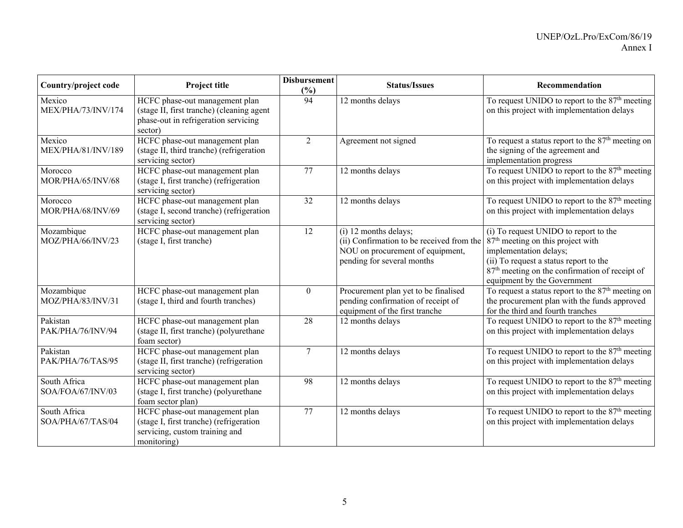| Country/project code              | Project title                                                                                                                  | <b>Disbursement</b><br>(%) | <b>Status/Issues</b>                                                                                                                 | Recommendation                                                                                                                                                                                                                                          |
|-----------------------------------|--------------------------------------------------------------------------------------------------------------------------------|----------------------------|--------------------------------------------------------------------------------------------------------------------------------------|---------------------------------------------------------------------------------------------------------------------------------------------------------------------------------------------------------------------------------------------------------|
| Mexico<br>MEX/PHA/73/INV/174      | HCFC phase-out management plan<br>(stage II, first tranche) (cleaning agent<br>phase-out in refrigeration servicing<br>sector) | 94                         | 12 months delays                                                                                                                     | To request UNIDO to report to the 87 <sup>th</sup> meeting<br>on this project with implementation delays                                                                                                                                                |
| Mexico<br>MEX/PHA/81/INV/189      | HCFC phase-out management plan<br>(stage II, third tranche) (refrigeration<br>servicing sector)                                | 2                          | Agreement not signed                                                                                                                 | To request a status report to the $87th$ meeting on<br>the signing of the agreement and<br>implementation progress                                                                                                                                      |
| Morocco<br>MOR/PHA/65/INV/68      | HCFC phase-out management plan<br>(stage I, first tranche) (refrigeration<br>servicing sector)                                 | 77                         | 12 months delays                                                                                                                     | To request UNIDO to report to the $87th$ meeting<br>on this project with implementation delays                                                                                                                                                          |
| Morocco<br>MOR/PHA/68/INV/69      | HCFC phase-out management plan<br>(stage I, second tranche) (refrigeration<br>servicing sector)                                | 32                         | 12 months delays                                                                                                                     | To request UNIDO to report to the $87th$ meeting<br>on this project with implementation delays                                                                                                                                                          |
| Mozambique<br>MOZ/PHA/66/INV/23   | HCFC phase-out management plan<br>(stage I, first tranche)                                                                     | 12                         | (i) 12 months delays;<br>(ii) Confirmation to be received from the<br>NOU on procurement of equipment,<br>pending for several months | (i) To request UNIDO to report to the<br>87 <sup>th</sup> meeting on this project with<br>implementation delays;<br>(ii) To request a status report to the<br>87 <sup>th</sup> meeting on the confirmation of receipt of<br>equipment by the Government |
| Mozambique<br>MOZ/PHA/83/INV/31   | HCFC phase-out management plan<br>(stage I, third and fourth tranches)                                                         | $\boldsymbol{0}$           | Procurement plan yet to be finalised<br>pending confirmation of receipt of<br>equipment of the first tranche                         | To request a status report to the $87th$ meeting on<br>the procurement plan with the funds approved<br>for the third and fourth tranches                                                                                                                |
| Pakistan<br>PAK/PHA/76/INV/94     | HCFC phase-out management plan<br>(stage II, first tranche) (polyurethane<br>foam sector)                                      | 28                         | 12 months delays                                                                                                                     | To request UNIDO to report to the $87th$ meeting<br>on this project with implementation delays                                                                                                                                                          |
| Pakistan<br>PAK/PHA/76/TAS/95     | HCFC phase-out management plan<br>(stage II, first tranche) (refrigeration<br>servicing sector)                                | $\tau$                     | 12 months delays                                                                                                                     | To request UNIDO to report to the $87th$ meeting<br>on this project with implementation delays                                                                                                                                                          |
| South Africa<br>SOA/FOA/67/INV/03 | HCFC phase-out management plan<br>(stage I, first tranche) (polyurethane<br>foam sector plan)                                  | 98                         | 12 months delays                                                                                                                     | To request UNIDO to report to the $87th$ meeting<br>on this project with implementation delays                                                                                                                                                          |
| South Africa<br>SOA/PHA/67/TAS/04 | HCFC phase-out management plan<br>(stage I, first tranche) (refrigeration<br>servicing, custom training and<br>monitoring)     | $\overline{77}$            | 12 months delays                                                                                                                     | To request UNIDO to report to the $87th$ meeting<br>on this project with implementation delays                                                                                                                                                          |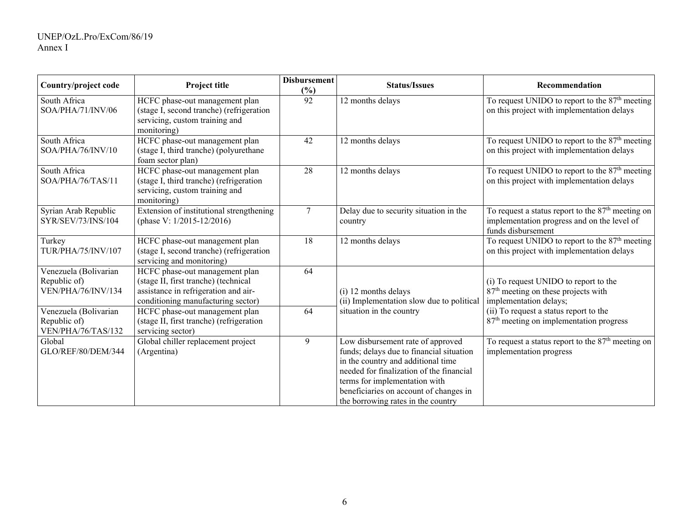| Country/project code                                        | Project title                                                                                                                                        | <b>Disbursement</b><br>(%) | <b>Status/Issues</b>                                                                                                                                                                                                                                                             | Recommendation                                                                                                           |
|-------------------------------------------------------------|------------------------------------------------------------------------------------------------------------------------------------------------------|----------------------------|----------------------------------------------------------------------------------------------------------------------------------------------------------------------------------------------------------------------------------------------------------------------------------|--------------------------------------------------------------------------------------------------------------------------|
| South Africa<br>SOA/PHA/71/INV/06                           | HCFC phase-out management plan<br>(stage I, second tranche) (refrigeration<br>servicing, custom training and<br>monitoring)                          | 92                         | 12 months delays                                                                                                                                                                                                                                                                 | To request UNIDO to report to the 87 <sup>th</sup> meeting<br>on this project with implementation delays                 |
| South Africa<br>SOA/PHA/76/INV/10                           | HCFC phase-out management plan<br>(stage I, third tranche) (polyurethane<br>foam sector plan)                                                        | 42                         | 12 months delays                                                                                                                                                                                                                                                                 | To request UNIDO to report to the $87th$ meeting<br>on this project with implementation delays                           |
| South Africa<br>SOA/PHA/76/TAS/11                           | HCFC phase-out management plan<br>(stage I, third tranche) (refrigeration<br>servicing, custom training and<br>monitoring)                           | 28                         | 12 months delays                                                                                                                                                                                                                                                                 | To request UNIDO to report to the $87th$ meeting<br>on this project with implementation delays                           |
| Syrian Arab Republic<br>SYR/SEV/73/INS/104                  | Extension of institutional strengthening<br>(phase V: 1/2015-12/2016)                                                                                | $\tau$                     | Delay due to security situation in the<br>country                                                                                                                                                                                                                                | To request a status report to the $87th$ meeting on<br>implementation progress and on the level of<br>funds disbursement |
| Turkey<br>TUR/PHA/75/INV/107                                | HCFC phase-out management plan<br>(stage I, second tranche) (refrigeration<br>servicing and monitoring)                                              | 18                         | 12 months delays                                                                                                                                                                                                                                                                 | To request UNIDO to report to the $87th$ meeting<br>on this project with implementation delays                           |
| Venezuela (Bolivarian<br>Republic of)<br>VEN/PHA/76/INV/134 | HCFC phase-out management plan<br>(stage II, first tranche) (technical<br>assistance in refrigeration and air-<br>conditioning manufacturing sector) | 64                         | (i) 12 months delays<br>(ii) Implementation slow due to political                                                                                                                                                                                                                | (i) To request UNIDO to report to the<br>87 <sup>th</sup> meeting on these projects with<br>implementation delays;       |
| Venezuela (Bolivarian<br>Republic of)<br>VEN/PHA/76/TAS/132 | HCFC phase-out management plan<br>(stage II, first tranche) (refrigeration<br>servicing sector)                                                      | 64                         | situation in the country                                                                                                                                                                                                                                                         | (ii) To request a status report to the<br>87 <sup>th</sup> meeting on implementation progress                            |
| Global<br>GLO/REF/80/DEM/344                                | Global chiller replacement project<br>(Argentina)                                                                                                    | 9                          | Low disbursement rate of approved<br>funds; delays due to financial situation<br>in the country and additional time<br>needed for finalization of the financial<br>terms for implementation with<br>beneficiaries on account of changes in<br>the borrowing rates in the country | To request a status report to the $87th$ meeting on<br>implementation progress                                           |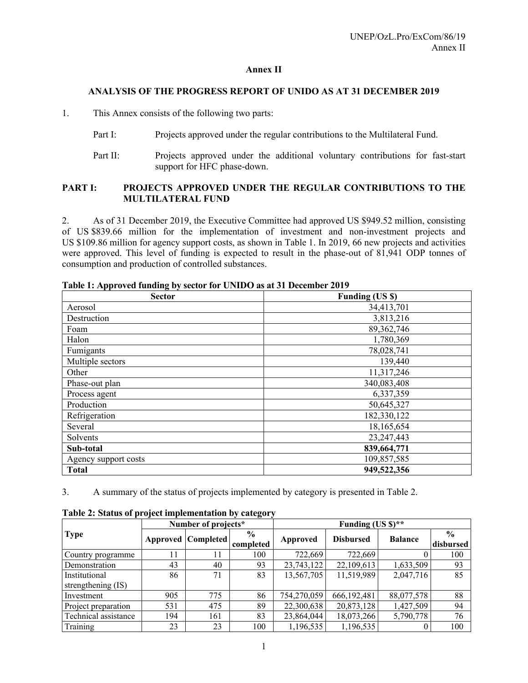## **Annex II**

## **ANALYSIS OF THE PROGRESS REPORT OF UNIDO AS AT 31 DECEMBER 2019**

1. This Annex consists of the following two parts:

- Part I: Projects approved under the regular contributions to the Multilateral Fund.
- Part II: Projects approved under the additional voluntary contributions for fast-start support for HFC phase-down.

## **PART I: PROJECTS APPROVED UNDER THE REGULAR CONTRIBUTIONS TO THE MULTILATERAL FUND**

2. As of 31 December 2019, the Executive Committee had approved US \$949.52 million, consisting of US \$839.66 million for the implementation of investment and non-investment projects and US \$109.86 million for agency support costs, as shown in Table 1. In 2019, 66 new projects and activities were approved. This level of funding is expected to result in the phase-out of 81,941 ODP tonnes of consumption and production of controlled substances.

| <b>Sector</b>        | <b>Funding (US \$)</b> |
|----------------------|------------------------|
| Aerosol              | 34,413,701             |
| Destruction          | 3,813,216              |
| Foam                 | 89, 362, 746           |
| Halon                | 1,780,369              |
| Fumigants            | 78,028,741             |
| Multiple sectors     | 139,440                |
| Other                | 11,317,246             |
| Phase-out plan       | 340,083,408            |
| Process agent        | 6,337,359              |
| Production           | 50,645,327             |
| Refrigeration        | 182,330,122            |
| Several              | 18,165,654             |
| Solvents             | 23, 247, 443           |
| Sub-total            | 839,664,771            |
| Agency support costs | 109,857,585            |
| <b>Total</b>         | 949,522,356            |

**Table 1: Approved funding by sector for UNIDO as at 31 December 2019** 

3. A summary of the status of projects implemented by category is presented in Table 2.

| Twore $\blacksquare$ , status of project imprementation by early $\blacksquare$ | Number of projects* |                           |                            | Funding (US $\frac{1}{2}$ )** |                  |                |                            |  |
|---------------------------------------------------------------------------------|---------------------|---------------------------|----------------------------|-------------------------------|------------------|----------------|----------------------------|--|
| <b>Type</b>                                                                     |                     | <b>Approved Completed</b> | $\frac{6}{9}$<br>completed | Approved                      | <b>Disbursed</b> | <b>Balance</b> | $\frac{0}{0}$<br>disbursed |  |
| Country programme                                                               | 11                  | 11                        | 100                        | 722,669                       | 722.669          |                | 100                        |  |
| Demonstration                                                                   | 43                  | 40                        | 93                         | 23,743,122                    | 22,109,613       | 1,633,509      | 93                         |  |
| Institutional                                                                   | 86                  | 71                        | 83                         | 13,567,705                    | 11,519,989       | 2,047,716      | 85                         |  |
| strengthening (IS)                                                              |                     |                           |                            |                               |                  |                |                            |  |
| Investment                                                                      | 905                 | 775                       | 86                         | 754,270,059                   | 666,192,481      | 88,077,578     | 88                         |  |
| Project preparation                                                             | 531                 | 475                       | 89                         | 22,300,638                    | 20,873,128       | 1,427,509      | 94                         |  |
| Technical assistance                                                            | 194                 | 161                       | 83                         | 23,864,044                    | 18,073,266       | 5,790,778      | 76                         |  |
| Training                                                                        | 23                  | 23                        | 100                        | 1,196,535                     | 1,196,535        |                | 100                        |  |

**Table 2: Status of project implementation by category**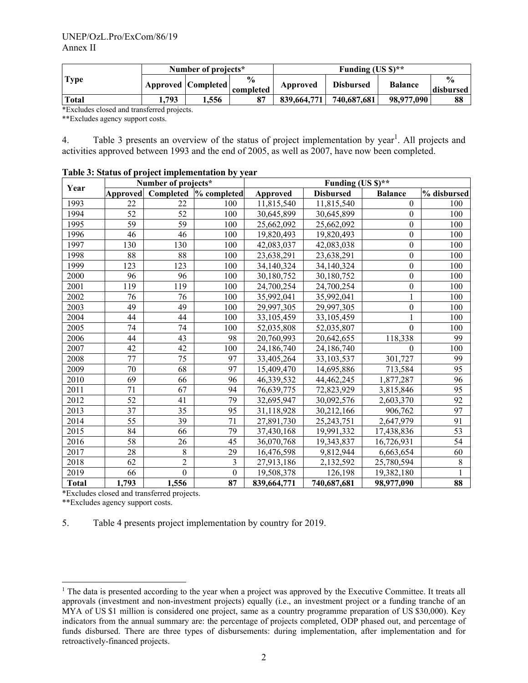|             | Number of projects* |                    |                            | Funding $(US \text{S})^*$ |                  |                |                                    |
|-------------|---------------------|--------------------|----------------------------|---------------------------|------------------|----------------|------------------------------------|
| <b>Type</b> |                     | Approved Completed | $\frac{6}{6}$<br>completed | Approved                  | <b>Disbursed</b> | <b>Balance</b> | $\mathbf{0}_{\alpha}$<br>disbursed |
| Total       | 793                 | 1.556              | 87                         | 839,664,771               | 740,687,681      | 98,977,090     | 88                                 |

\*Excludes closed and transferred projects.

\*\*Excludes agency support costs.

4. Table 3 presents an overview of the status of project implementation by year<sup>1</sup>. All projects and activities approved between 1993 and the end of 2005, as well as 2007, have now been completed.

|              |          | Number of projects* |              | Funding (US $\frac{1}{2}$ )** |                  |                  |             |  |  |
|--------------|----------|---------------------|--------------|-------------------------------|------------------|------------------|-------------|--|--|
| Year         | Approved | Completed           | % completed  | Approved                      | <b>Disbursed</b> | <b>Balance</b>   | % disbursed |  |  |
| 1993         | 22       | 22                  | 100          | 11,815,540                    | 11,815,540       | $\mathbf{0}$     | 100         |  |  |
| 1994         | 52       | 52                  | 100          | 30,645,899                    | 30,645,899       | $\theta$         | 100         |  |  |
| 1995         | 59       | 59                  | 100          | 25,662,092                    | 25,662,092       | $\boldsymbol{0}$ | 100         |  |  |
| 1996         | 46       | 46                  | 100          | 19,820,493                    | 19,820,493       | $\boldsymbol{0}$ | 100         |  |  |
| 1997         | 130      | 130                 | 100          | 42,083,037                    | 42,083,038       | $\boldsymbol{0}$ | 100         |  |  |
| 1998         | 88       | 88                  | 100          | 23,638,291                    | 23,638,291       | $\boldsymbol{0}$ | 100         |  |  |
| 1999         | 123      | 123                 | 100          | 34,140,324                    | 34,140,324       | $\boldsymbol{0}$ | 100         |  |  |
| 2000         | 96       | 96                  | 100          | 30,180,752                    | 30,180,752       | $\boldsymbol{0}$ | 100         |  |  |
| 2001         | 119      | 119                 | 100          | 24,700,254                    | 24,700,254       | $\boldsymbol{0}$ | 100         |  |  |
| 2002         | 76       | 76                  | 100          | 35,992,041                    | 35,992,041       | 1                | 100         |  |  |
| 2003         | 49       | 49                  | 100          | 29,997,305                    | 29,997,305       | $\boldsymbol{0}$ | 100         |  |  |
| 2004         | 44       | 44                  | 100          | 33,105,459                    | 33,105,459       | 1                | 100         |  |  |
| 2005         | 74       | 74                  | 100          | 52,035,808                    | 52,035,807       | $\mathbf{0}$     | 100         |  |  |
| 2006         | 44       | 43                  | 98           | 20,760,993                    | 20,642,655       | 118,338          | 99          |  |  |
| 2007         | 42       | 42                  | 100          | 24,186,740                    | 24,186,740       | $\Omega$         | 100         |  |  |
| 2008         | 77       | 75                  | 97           | 33,405,264                    | 33,103,537       | 301,727          | 99          |  |  |
| 2009         | 70       | 68                  | 97           | 15,409,470                    | 14,695,886       | 713,584          | 95          |  |  |
| 2010         | 69       | 66                  | 96           | 46,339,532                    | 44,462,245       | 1,877,287        | 96          |  |  |
| 2011         | 71       | 67                  | 94           | 76,639,775                    | 72,823,929       | 3,815,846        | 95          |  |  |
| 2012         | 52       | 41                  | 79           | 32,695,947                    | 30,092,576       | 2,603,370        | 92          |  |  |
| 2013         | 37       | 35                  | 95           | 31,118,928                    | 30,212,166       | 906,762          | 97          |  |  |
| 2014         | 55       | 39                  | 71           | 27,891,730                    | 25, 243, 751     | 2,647,979        | 91          |  |  |
| 2015         | 84       | 66                  | 79           | 37,430,168                    | 19,991,332       | 17,438,836       | 53          |  |  |
| 2016         | 58       | 26                  | 45           | 36,070,768                    | 19,343,837       | 16,726,931       | 54          |  |  |
| 2017         | 28       | 8                   | 29           | 16,476,598                    | 9,812,944        | 6,663,654        | 60          |  |  |
| 2018         | 62       | $\overline{2}$      | 3            | 27,913,186                    | 2,132,592        | 25,780,594       | $\,$ 8 $\,$ |  |  |
| 2019         | 66       | $\mathbf{0}$        | $\mathbf{0}$ | 19,508,378                    | 126,198          | 19,382,180       |             |  |  |
| <b>Total</b> | 1,793    | 1,556               | 87           | 839,664,771                   | 740,687,681      | 98,977,090       | 88          |  |  |

#### **Table 3: Status of project implementation by year**

\*Excludes closed and transferred projects.

\*\*Excludes agency support costs.

5. Table 4 presents project implementation by country for 2019.

<sup>&</sup>lt;sup>1</sup> The data is presented according to the year when a project was approved by the Executive Committee. It treats all approvals (investment and non-investment projects) equally (i.e., an investment project or a funding tranche of an MYA of US \$1 million is considered one project, same as a country programme preparation of US \$30,000). Key indicators from the annual summary are: the percentage of projects completed, ODP phased out, and percentage of funds disbursed. There are three types of disbursements: during implementation, after implementation and for retroactively-financed projects.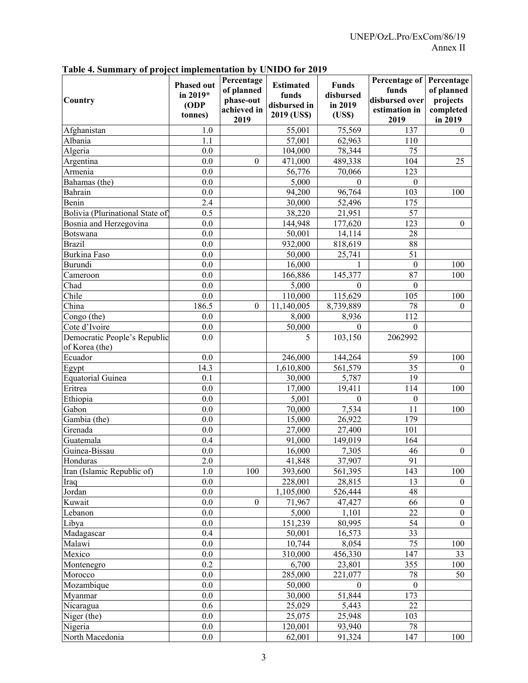| Table 4. Summary of project implementation by UNIDO for 2019 |
|--------------------------------------------------------------|
|--------------------------------------------------------------|

| Country                                        | <b>Phased out</b><br>in 2019*<br>(ODP<br>tonnes) | Percentage<br>of planned<br>phase-out<br>achieved in<br>2019 | <b>Estimated</b><br>funds<br>disbursed in<br>2019 (US\$) | <b>Funds</b><br>disbursed<br>in 2019<br>(USS) | Percentage of<br>funds<br>disbursed over<br>estimation in<br>2019 | Percentage<br>of planned<br>projects<br>completed<br>in 2019 |
|------------------------------------------------|--------------------------------------------------|--------------------------------------------------------------|----------------------------------------------------------|-----------------------------------------------|-------------------------------------------------------------------|--------------------------------------------------------------|
| Afghanistan                                    | 1.0                                              |                                                              | 55,001                                                   | 75,569                                        | 137                                                               | $\theta$                                                     |
| Albania                                        | 1.1                                              |                                                              | 57,001                                                   | 62,963                                        | 110                                                               |                                                              |
| Algeria                                        | 0.0                                              |                                                              | 104,000                                                  | 78,344                                        | 75                                                                |                                                              |
| Argentina                                      | 0.0                                              | $\theta$                                                     | 471,000                                                  | 489,338                                       | 104                                                               | 25                                                           |
| Armenia                                        | 0.0                                              |                                                              | 56,776                                                   | 70,066                                        | 123                                                               |                                                              |
| Bahamas (the)                                  | 0.0                                              |                                                              | 5,000                                                    | $\Omega$                                      | $\boldsymbol{0}$                                                  |                                                              |
| Bahrain                                        | 0.0                                              |                                                              | 94,200                                                   | 96,764                                        | 103                                                               | 100                                                          |
| Benin                                          | 2.4                                              |                                                              | 30,000                                                   | 52,496                                        | 175                                                               |                                                              |
| Bolivia (Plurinational State of                | 0.5                                              |                                                              | 38,220                                                   | 21,951                                        | 57                                                                |                                                              |
| Bosnia and Herzegovina                         | 0.0                                              |                                                              | 144,948                                                  | 177,620                                       | 123                                                               | $\boldsymbol{0}$                                             |
| Botswana                                       | 0.0                                              |                                                              | 50,001                                                   | 14,114                                        | 28                                                                |                                                              |
| <b>Brazil</b>                                  | 0.0                                              |                                                              | 932,000                                                  | 818,619                                       | 88                                                                |                                                              |
| <b>Burkina Faso</b>                            | 0.0                                              |                                                              | 50,000                                                   | 25,741                                        | 51                                                                |                                                              |
| Burundi                                        | 0.0                                              |                                                              | 16,000                                                   |                                               | $\boldsymbol{0}$                                                  | 100                                                          |
| Cameroon                                       | 0.0                                              |                                                              | 166,886                                                  | 145,377                                       | 87                                                                | 100                                                          |
| Chad                                           | 0.0                                              |                                                              | 5,000                                                    | 0                                             | $\boldsymbol{0}$                                                  |                                                              |
| Chile                                          | 0.0                                              |                                                              | 110,000                                                  | 115,629                                       | 105                                                               | 100                                                          |
| China                                          | 186.5                                            | $\theta$                                                     | 11,140,005                                               | 8,739,889                                     | 78                                                                | $\theta$                                                     |
| Congo (the)                                    | 0.0                                              |                                                              | 8,000                                                    | 8,936                                         | 112                                                               |                                                              |
| Cote d'Ivoire                                  | 0.0                                              |                                                              | 50,000                                                   | $\theta$                                      | $\mathbf{0}$                                                      |                                                              |
| Democratic People's Republic<br>of Korea (the) | 0.0                                              |                                                              | 5                                                        | 103,150                                       | 2062992                                                           |                                                              |
| Ecuador                                        | 0.0                                              |                                                              | 246,000                                                  | 144,264                                       | 59                                                                | 100                                                          |
| Egypt                                          | 14.3                                             |                                                              | 1,610,800                                                | 561,579                                       | 35                                                                | 0                                                            |
| Equatorial Guinea                              | 0.1                                              |                                                              | 30,000                                                   | 5,787                                         | 19                                                                |                                                              |
| Eritrea                                        | 0.0                                              |                                                              | 17,000                                                   | 19,411                                        | 114                                                               | 100                                                          |
| Ethiopia                                       | 0.0                                              |                                                              | 5,001                                                    | $\Omega$                                      | $\boldsymbol{0}$                                                  |                                                              |
| Gabon                                          | 0.0                                              |                                                              | 70,000                                                   | 7,534                                         | 11                                                                | 100                                                          |
| Gambia (the)                                   | 0.0                                              |                                                              | 15,000                                                   | 26,922                                        | 179                                                               |                                                              |
| Grenada                                        | 0.0                                              |                                                              | $\overline{27,000}$                                      | 27,400                                        | 101                                                               |                                                              |
| Guatemala                                      | 0.4                                              |                                                              | 91,000                                                   | 149,019                                       | 164                                                               |                                                              |
| Guinea-Bissau                                  | 0.0                                              |                                                              | 16,000                                                   | 7,305                                         | 46                                                                | $\boldsymbol{0}$                                             |
| Honduras                                       | $\overline{2.0}$                                 |                                                              | 41,848                                                   | 37,907                                        | 91                                                                |                                                              |
| Iran (Islamic Republic of)                     | 1.0                                              | 100                                                          | 393,600                                                  | 561,395                                       | 143                                                               | 100                                                          |
| Iraq                                           | 0.0                                              |                                                              | 228,001                                                  | 28,815                                        | 13                                                                | 0                                                            |
| Jordan                                         | 0.0                                              |                                                              | 1,105,000                                                | 526,444                                       | 48                                                                |                                                              |
| Kuwait                                         | 0.0                                              | $\boldsymbol{0}$                                             | 71,967                                                   | 47,427                                        | 66                                                                | $\boldsymbol{0}$                                             |
| Lebanon                                        | 0.0                                              |                                                              | 5,000                                                    | 1,101                                         | 22                                                                | $\mathbf{0}$                                                 |
| Libya                                          | 0.0                                              |                                                              | 151,239                                                  | 80,995                                        | 54                                                                | $\mathbf{0}$                                                 |
| Madagascar                                     | 0.4                                              |                                                              | 50,001                                                   | 16,573                                        | 33                                                                |                                                              |
| Malawi                                         | 0.0                                              |                                                              | 10,744                                                   | 8,054                                         | 75                                                                | 100                                                          |
| Mexico                                         | 0.0                                              |                                                              | 310,000                                                  | 456,330                                       | 147                                                               | 33                                                           |
| Montenegro                                     | 0.2                                              |                                                              | 6,700                                                    | 23,801                                        | 355                                                               | 100                                                          |
| Morocco                                        | 0.0                                              |                                                              | 285,000                                                  | 221,077                                       | 78                                                                | 50                                                           |
| Mozambique                                     | 0.0                                              |                                                              | 50,000                                                   | $\theta$                                      | $\boldsymbol{0}$                                                  |                                                              |
| Myanmar                                        | 0.0                                              |                                                              | 30,000                                                   | 51,844                                        | 173                                                               |                                                              |
| Nicaragua                                      | 0.6                                              |                                                              | 25,029                                                   | 5,443                                         | 22                                                                |                                                              |
| Niger (the)                                    | 0.0                                              |                                                              | 25,075                                                   | 25,948                                        | 103                                                               |                                                              |
| Nigeria                                        | 0.0                                              |                                                              | 120,001                                                  | 93,940                                        | 78                                                                |                                                              |
| North Macedonia                                | $0.0\,$                                          |                                                              | 62,001                                                   | 91,324                                        | 147                                                               | 100                                                          |
|                                                |                                                  |                                                              |                                                          |                                               |                                                                   |                                                              |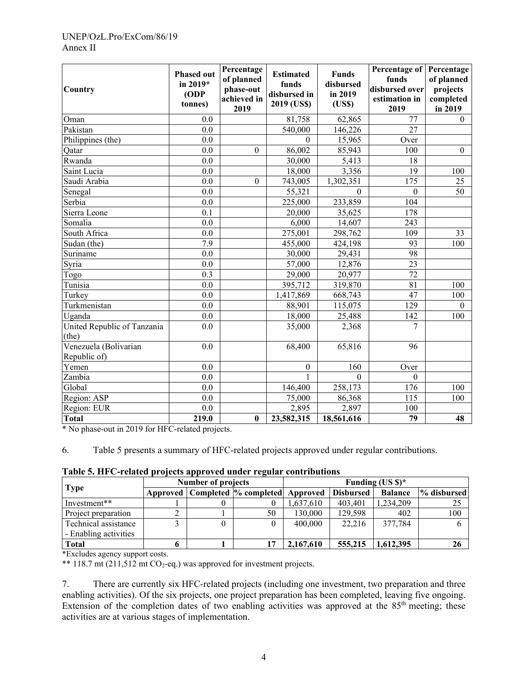#### UNEP/OzL.Pro/ExCom/86/19 Annex II

| Country                               | <b>Phased out</b><br>in $2019*$<br>ODP<br>tonnes) | Percentage<br>of planned<br>phase-out<br>achieved in<br>2019 | <b>Estimated</b><br>funds<br>disbursed in<br>2019 (US\$) | <b>Funds</b><br>disbursed<br>in 2019<br>(USS) | Percentage of<br>funds<br>disbursed over<br>estimation in<br>2019 | Percentage<br>of planned<br>projects<br>completed<br>in 2019 |
|---------------------------------------|---------------------------------------------------|--------------------------------------------------------------|----------------------------------------------------------|-----------------------------------------------|-------------------------------------------------------------------|--------------------------------------------------------------|
| Oman                                  | 0.0                                               |                                                              | 81,758                                                   | 62,865                                        | 77                                                                | $\theta$                                                     |
| Pakistan                              | 0.0                                               |                                                              | 540,000                                                  | 146,226                                       | 27                                                                |                                                              |
| Philippines (the)                     | 0.0                                               |                                                              | $\theta$                                                 | 15,965                                        | Over                                                              |                                                              |
| Qatar                                 | 0.0                                               | $\boldsymbol{0}$                                             | 86,002                                                   | 85,943                                        | 100                                                               | $\boldsymbol{0}$                                             |
| Rwanda                                | 0.0                                               |                                                              | 30,000                                                   | 5,413                                         | 18                                                                |                                                              |
| Saint Lucia                           | 0.0                                               |                                                              | 18,000                                                   | 3,356                                         | 19                                                                | 100                                                          |
| Saudi Arabia                          | 0.0                                               | $\mathbf{0}$                                                 | 743,005                                                  | 1,302,351                                     | 175                                                               | 25                                                           |
| Senegal                               | 0.0                                               |                                                              | 55,321                                                   | $\mathbf{0}$                                  | $\mathbf{0}$                                                      | 50                                                           |
| Serbia                                | 0.0                                               |                                                              | 225,000                                                  | 233,859                                       | 104                                                               |                                                              |
| Sierra Leone                          | 0.1                                               |                                                              | 20,000                                                   | 35,625                                        | 178                                                               |                                                              |
| Somalia                               | 0.0                                               |                                                              | 6,000                                                    | 14,607                                        | 243                                                               |                                                              |
| South Africa                          | 0.0                                               |                                                              | 275,001                                                  | 298,762                                       | 109                                                               | 33                                                           |
| Sudan (the)                           | 7.9                                               |                                                              | 455,000                                                  | 424,198                                       | 93                                                                | 100                                                          |
| Suriname                              | 0.0                                               |                                                              | 30,000                                                   | 29,431                                        | 98                                                                |                                                              |
| Syria                                 | 0.0                                               |                                                              | 57,000                                                   | 12,876                                        | 23                                                                |                                                              |
| Togo                                  | 0.3                                               |                                                              | 29,000                                                   | 20,977                                        | 72                                                                |                                                              |
| Tunisia                               | 0.0                                               |                                                              | 395,712                                                  | 319,870                                       | 81                                                                | 100                                                          |
| Turkey                                | 0.0                                               |                                                              | 1,417,869                                                | 668,743                                       | 47                                                                | 100                                                          |
| Turkmenistan                          | 0.0                                               |                                                              | 88,901                                                   | 115,075                                       | 129                                                               | $\theta$                                                     |
| Uganda                                | 0.0                                               |                                                              | 18,000                                                   | 25,488                                        | 142                                                               | 100                                                          |
| United Republic of Tanzania<br>(the)  | 0.0                                               |                                                              | 35,000                                                   | 2,368                                         | 7                                                                 |                                                              |
| Venezuela (Bolivarian<br>Republic of) | 0.0                                               |                                                              | 68,400                                                   | 65,816                                        | 96                                                                |                                                              |
| Yemen                                 | 0.0                                               |                                                              | $\boldsymbol{0}$                                         | 160                                           | Over                                                              |                                                              |
| Zambia                                | 0.0                                               |                                                              | $\mathbf{1}$                                             | $\Omega$                                      | $\mathbf{0}$                                                      |                                                              |
| Global                                | 0.0                                               |                                                              | 146,400                                                  | 258,173                                       | 176                                                               | 100                                                          |
| Region: ASP                           | 0.0                                               |                                                              | 75,000                                                   | 86,368                                        | 115                                                               | 100                                                          |
| Region: EUR                           | 0.0                                               |                                                              | 2,895                                                    | 2,897                                         | 100                                                               |                                                              |
| <b>Total</b>                          | 219.0                                             | $\bf{0}$                                                     | 23,582,315                                               | 18,561,616                                    | $\overline{79}$                                                   | 48                                                           |

\* No phase-out in 2019 for HFC-related projects.

6. Table 5 presents a summary of HFC-related projects approved under regular contributions.

|  |  |  | Table 5. HFC-related projects approved under regular contributions |
|--|--|--|--------------------------------------------------------------------|
|  |  |  |                                                                    |

|                       | <b>Number of projects</b> |  |                                              | Funding $(US \text{ } $)\text{*}$ |                  |                |             |  |
|-----------------------|---------------------------|--|----------------------------------------------|-----------------------------------|------------------|----------------|-------------|--|
| <b>Type</b>           |                           |  | Approved   Completed  % completed   Approved |                                   | <b>Disbursed</b> | <b>Balance</b> | % disbursed |  |
| Investment**          |                           |  |                                              | ,637,610                          | 403,401          | 1,234,209      |             |  |
| Project preparation   |                           |  | 50                                           | 130,000                           | 129,598          | 402            | 100         |  |
| Technical assistance  |                           |  |                                              | 400,000                           | 22,216           | 377,784        |             |  |
| - Enabling activities |                           |  |                                              |                                   |                  |                |             |  |
| <b>Total</b>          |                           |  |                                              | 2,167,610                         | 555,215          | 1,612,395      | 26          |  |

\*Excludes agency support costs.

\*\* 118.7 mt  $(211,512 \text{ mt } CO_2$ -eq.) was approved for investment projects.

7. There are currently six HFC-related projects (including one investment, two preparation and three enabling activities). Of the six projects, one project preparation has been completed, leaving five ongoing. Extension of the completion dates of two enabling activities was approved at the  $85<sup>th</sup>$  meeting; these activities are at various stages of implementation.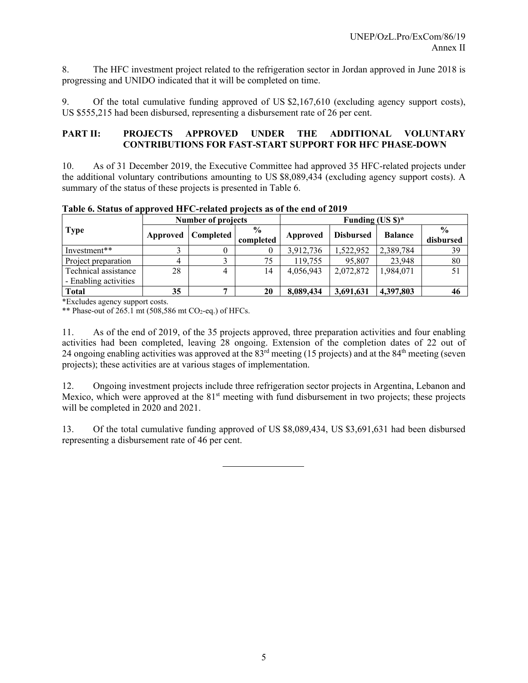8. The HFC investment project related to the refrigeration sector in Jordan approved in June 2018 is progressing and UNIDO indicated that it will be completed on time.

9. Of the total cumulative funding approved of US \$2,167,610 (excluding agency support costs), US \$555,215 had been disbursed, representing a disbursement rate of 26 per cent.

## **PART II: PROJECTS APPROVED UNDER THE ADDITIONAL VOLUNTARY CONTRIBUTIONS FOR FAST-START SUPPORT FOR HFC PHASE-DOWN**

10. As of 31 December 2019, the Executive Committee had approved 35 HFC-related projects under the additional voluntary contributions amounting to US \$8,089,434 (excluding agency support costs). A summary of the status of these projects is presented in Table 6.

|                                               | <b>Number of projects</b> |                      |                            | Funding (US $\frac{1}{2}$ )* |                  |                |                            |  |
|-----------------------------------------------|---------------------------|----------------------|----------------------------|------------------------------|------------------|----------------|----------------------------|--|
| <b>Type</b>                                   |                           | Approved   Completed | $\frac{6}{9}$<br>completed | Approved                     | <b>Disbursed</b> | <b>Balance</b> | $\frac{0}{0}$<br>disbursed |  |
| Investment**                                  |                           | 0                    |                            | 3,912,736                    | 1,522,952        | 2,389,784      | 39                         |  |
| Project preparation                           |                           | ↑                    | 75                         | 119,755                      | 95,807           | 23,948         | 80                         |  |
| Technical assistance<br>- Enabling activities | 28                        | 4                    | 14                         | 4,056,943                    | 2,072,872        | 1,984,071      | 51                         |  |
| <b>Total</b>                                  | 35                        |                      | 20                         | 8,089,434                    | 3,691,631        | 4,397,803      | 46                         |  |

**Table 6. Status of approved HFC-related projects as of the end of 2019** 

\*Excludes agency support costs.

\*\* Phase-out of  $265.1$  mt  $(508,586$  mt CO<sub>2</sub>-eq.) of HFCs.

11. As of the end of 2019, of the 35 projects approved, three preparation activities and four enabling activities had been completed, leaving 28 ongoing. Extension of the completion dates of 22 out of 24 ongoing enabling activities was approved at the  $83<sup>rd</sup>$  meeting (15 projects) and at the  $84<sup>th</sup>$  meeting (seven projects); these activities are at various stages of implementation.

12. Ongoing investment projects include three refrigeration sector projects in Argentina, Lebanon and Mexico, which were approved at the 81<sup>st</sup> meeting with fund disbursement in two projects; these projects will be completed in 2020 and 2021.

13. Of the total cumulative funding approved of US \$8,089,434, US \$3,691,631 had been disbursed representing a disbursement rate of 46 per cent.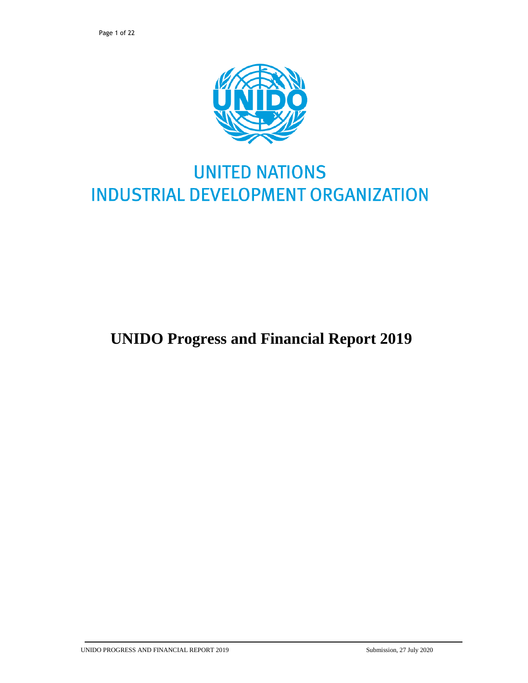

# **UNITED NATIONS INDUSTRIAL DEVELOPMENT ORGANIZATION**

## **UNIDO Progress and Financial Report 2019**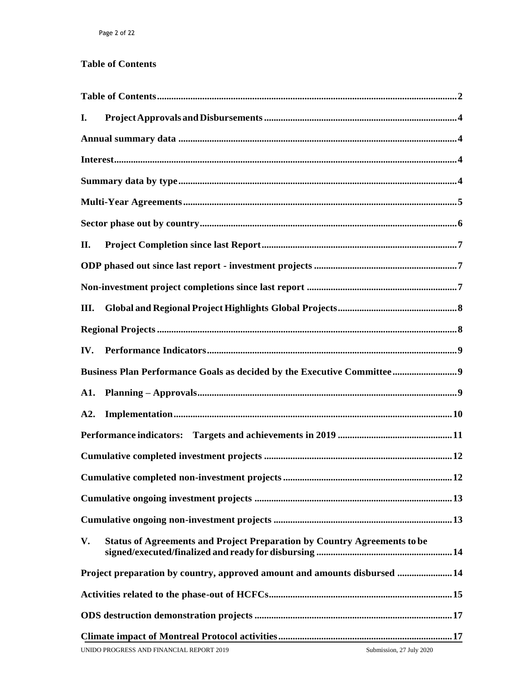## <span id="page-22-0"></span>**Table of Contents**

| I.   |                                                                                 |
|------|---------------------------------------------------------------------------------|
|      |                                                                                 |
|      |                                                                                 |
|      |                                                                                 |
|      |                                                                                 |
|      |                                                                                 |
| П.   |                                                                                 |
|      |                                                                                 |
|      |                                                                                 |
| III. |                                                                                 |
|      |                                                                                 |
| IV.  |                                                                                 |
|      |                                                                                 |
| A1.  |                                                                                 |
| A2.  |                                                                                 |
|      |                                                                                 |
|      |                                                                                 |
|      |                                                                                 |
|      |                                                                                 |
|      |                                                                                 |
| V.   | <b>Status of Agreements and Project Preparation by Country Agreements to be</b> |
|      | Project preparation by country, approved amount and amounts disbursed  14       |
|      |                                                                                 |
|      |                                                                                 |
|      |                                                                                 |
|      | Submission, 27 July 2020<br>UNIDO PROGRESS AND FINANCIAL REPORT 2019            |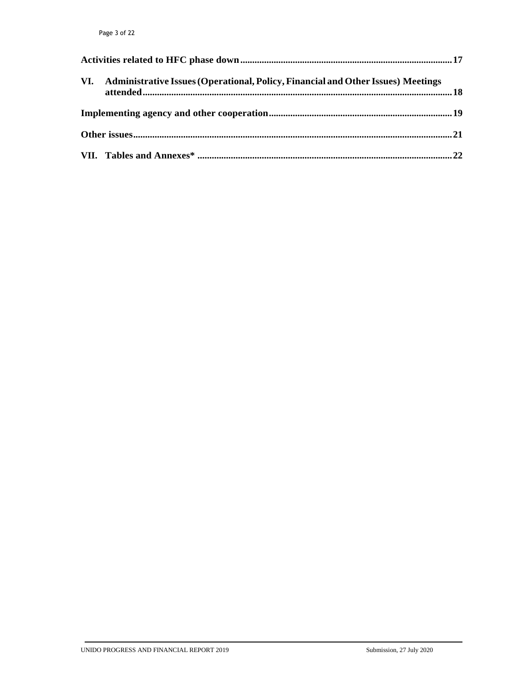| VI. Administrative Issues (Operational, Policy, Financial and Other Issues) Meetings |  |
|--------------------------------------------------------------------------------------|--|
|                                                                                      |  |
|                                                                                      |  |
|                                                                                      |  |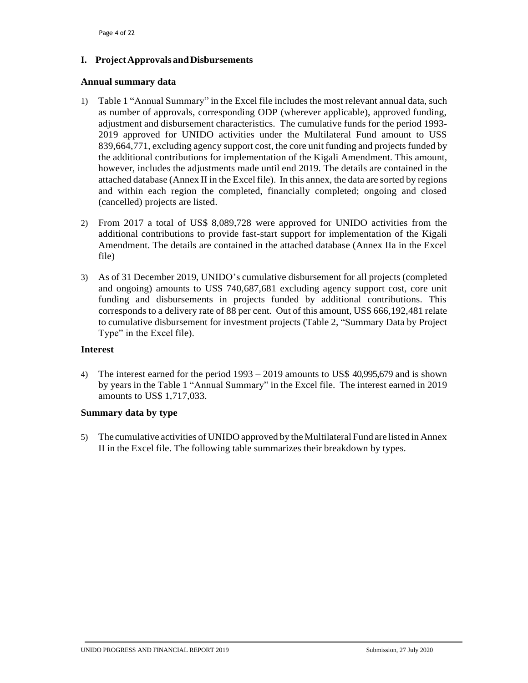## <span id="page-24-0"></span>**I. ProjectApprovals andDisbursements**

### <span id="page-24-1"></span>**Annual summary data**

- 1) Table 1 "Annual Summary" in the Excel file includes the most relevant annual data, such as number of approvals, corresponding ODP (wherever applicable), approved funding, adjustment and disbursement characteristics. The cumulative funds for the period 1993- 2019 approved for UNIDO activities under the Multilateral Fund amount to US\$ 839,664,771, excluding agency support cost, the core unit funding and projects funded by the additional contributions for implementation of the Kigali Amendment. This amount, however, includes the adjustments made until end 2019. The details are contained in the attached database (Annex II in the Excel file). In this annex, the data are sorted by regions and within each region the completed, financially completed; ongoing and closed (cancelled) projects are listed.
- 2) From 2017 a total of US\$ 8,089,728 were approved for UNIDO activities from the additional contributions to provide fast-start support for implementation of the Kigali Amendment. The details are contained in the attached database (Annex IIa in the Excel file)
- 3) As of 31 December 2019, UNIDO's cumulative disbursement for all projects (completed and ongoing) amounts to US\$ 740,687,681 excluding agency support cost, core unit funding and disbursements in projects funded by additional contributions. This corresponds to a delivery rate of 88 per cent. Out of this amount, US\$ 666,192,481 relate to cumulative disbursement for investment projects (Table 2, "Summary Data by Project Type" in the Excel file).

## <span id="page-24-2"></span>**Interest**

4) The interest earned for the period 1993 – 2019 amounts to US\$ 40,995,679 and is shown by years in the Table 1 "Annual Summary" in the Excel file. The interest earned in 2019 amounts to US\$ 1,717,033.

## <span id="page-24-3"></span>**Summary data by type**

5) The cumulative activities of UNIDO approved by the Multilateral Fund are listed in Annex II in the Excel file. The following table summarizes their breakdown by types.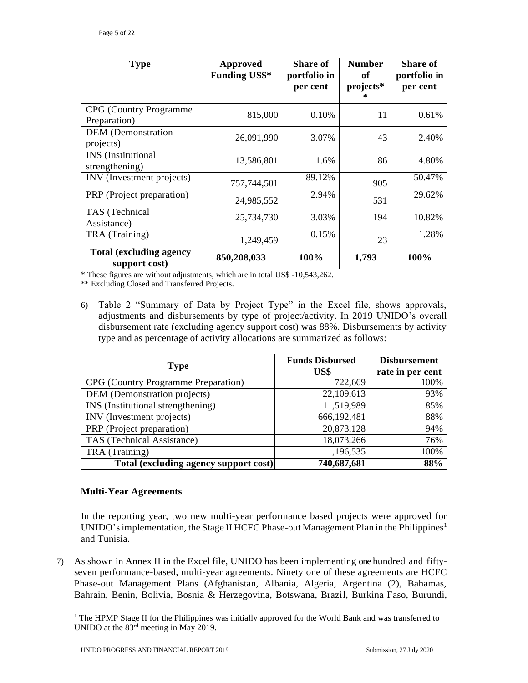| <b>Type</b>                                      | Approved<br><b>Funding US\$*</b> | <b>Share of</b><br>portfolio in<br>per cent | <b>Number</b><br>of<br>projects* | <b>Share of</b><br>portfolio in<br>per cent |
|--------------------------------------------------|----------------------------------|---------------------------------------------|----------------------------------|---------------------------------------------|
| <b>CPG</b> (Country Programme<br>Preparation)    | 815,000                          | 0.10%                                       | 11                               | 0.61%                                       |
| <b>DEM</b> (Demonstration<br>projects)           | 26,091,990                       | 3.07%                                       | 43                               | 2.40%                                       |
| <b>INS</b> (Institutional<br>strengthening)      | 13,586,801                       | 1.6%                                        | 86                               | 4.80%                                       |
| INV (Investment projects)                        | 757,744,501                      | 89.12%                                      | 905                              | 50.47%                                      |
| PRP (Project preparation)                        | 24,985,552                       | 2.94%                                       | 531                              | 29.62%                                      |
| TAS (Technical<br>Assistance)                    | 25,734,730                       | 3.03%                                       | 194                              | 10.82%                                      |
| TRA (Training)                                   | 1,249,459                        | 0.15%                                       | 23                               | 1.28%                                       |
| <b>Total (excluding agency)</b><br>support cost) | 850,208,033                      | 100%                                        | 1,793                            | 100%                                        |

\* These figures are without adjustments, which are in total US\$ -10,543,262.

\*\* Excluding Closed and Transferred Projects.

6) Table 2 "Summary of Data by Project Type" in the Excel file, shows approvals, adjustments and disbursements by type of project/activity. In 2019 UNIDO's overall disbursement rate (excluding agency support cost) was 88%. Disbursements by activity type and as percentage of activity allocations are summarized as follows:

| <b>Type</b>                           | <b>Funds Disbursed</b><br>US\$ | <b>Disbursement</b><br>rate in per cent |
|---------------------------------------|--------------------------------|-----------------------------------------|
| CPG (Country Programme Preparation)   | 722,669                        | 100%                                    |
| DEM (Demonstration projects)          | 22,109,613                     | 93%                                     |
| INS (Institutional strengthening)     | 11,519,989                     | 85%                                     |
| INV (Investment projects)             | 666,192,481                    | 88%                                     |
| PRP (Project preparation)             | 20,873,128                     | 94%                                     |
| TAS (Technical Assistance)            | 18,073,266                     | 76%                                     |
| TRA (Training)                        | 1,196,535                      | 100%                                    |
| Total (excluding agency support cost) | 740,687,681                    | 88%                                     |

## <span id="page-25-0"></span>**Multi-Year Agreements**

l

In the reporting year, two new multi-year performance based projects were approved for UNIDO's implementation, the Stage II HCFC Phase-out Management Plan in the Philippines<sup>1</sup> and Tunisia.

7) As shown in Annex II in the Excel file, UNIDO has been implementing one hundred and fiftyseven performance-based, multi-year agreements. Ninety one of these agreements are HCFC Phase-out Management Plans (Afghanistan, Albania, Algeria, Argentina (2), Bahamas, Bahrain, Benin, Bolivia, Bosnia & Herzegovina, Botswana, Brazil, Burkina Faso, Burundi,

<sup>&</sup>lt;sup>1</sup> The HPMP Stage II for the Philippines was initially approved for the World Bank and was transferred to UNIDO at the 83rd meeting in May 2019.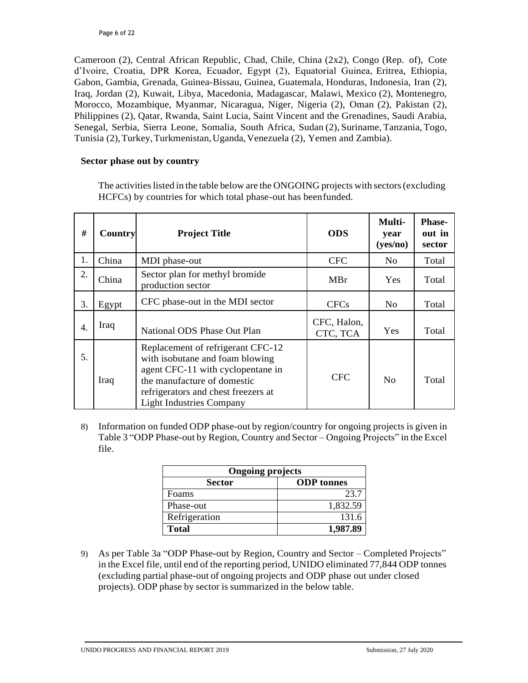Cameroon (2), Central African Republic, Chad, Chile, China (2x2), Congo (Rep. of), Cote d'Ivoire, Croatia, DPR Korea, Ecuador, Egypt (2), Equatorial Guinea, Eritrea, Ethiopia, Gabon, Gambia, Grenada, Guinea-Bissau, Guinea, Guatemala, Honduras, Indonesia, Iran (2), Iraq, Jordan (2), Kuwait, Libya, Macedonia, Madagascar, Malawi, Mexico (2), Montenegro, Morocco, Mozambique, Myanmar, Nicaragua, Niger, Nigeria (2), Oman (2), Pakistan (2), Philippines (2), Qatar, Rwanda, Saint Lucia, Saint Vincent and the Grenadines, Saudi Arabia, Senegal, Serbia, Sierra Leone, Somalia, South Africa, Sudan (2), Suriname, Tanzania, Togo, Tunisia (2),Turkey,Turkmenistan,Uganda,Venezuela (2), Yemen and Zambia).

## <span id="page-26-0"></span>**Sector phase out by country**

The activities listed in the table below are the ONGOING projects with sectors (excluding HCFCs) by countries for which total phase-out has beenfunded.

| #  | Country | <b>Project Title</b>                                                                                                                                                                                               | <b>ODS</b>              | Multi-<br>year<br>(yes/no) | <b>Phase-</b><br>out in<br>sector |
|----|---------|--------------------------------------------------------------------------------------------------------------------------------------------------------------------------------------------------------------------|-------------------------|----------------------------|-----------------------------------|
| 1. | China   | MDI phase-out                                                                                                                                                                                                      | <b>CFC</b>              | No                         | Total                             |
| 2. | China   | Sector plan for methyl bromide<br>production sector                                                                                                                                                                | MBr                     | Yes                        | Total                             |
| 3. | Egypt   | CFC phase-out in the MDI sector                                                                                                                                                                                    | <b>CFCs</b>             | No                         | Total                             |
| 4. | Iraq    | National ODS Phase Out Plan                                                                                                                                                                                        | CFC, Halon,<br>CTC, TCA | Yes                        | Total                             |
| 5. | Iraq    | Replacement of refrigerant CFC-12<br>with isobutane and foam blowing<br>agent CFC-11 with cyclopentane in<br>the manufacture of domestic<br>refrigerators and chest freezers at<br><b>Light Industries Company</b> | <b>CFC</b>              | N <sub>0</sub>             | Total                             |

8) Information on funded ODP phase-out by region/country for ongoing projects is given in Table 3 "ODP Phase-out by Region, Country and Sector – Ongoing Projects" in the Excel file.

| <b>Ongoing projects</b> |                   |  |  |
|-------------------------|-------------------|--|--|
| <b>Sector</b>           | <b>ODP</b> tonnes |  |  |
| Foams                   | 23.7              |  |  |
| Phase-out               | 1,832.59          |  |  |
| Refrigeration           | 131.6             |  |  |
| <b>Total</b>            | 1,987.89          |  |  |

9) As per Table 3a "ODP Phase-out by Region, Country and Sector – Completed Projects" in the Excel file, until end of the reporting period, UNIDO eliminated 77,844 ODP tonnes (excluding partial phase-out of ongoing projects and ODP phase out under closed projects). ODP phase by sector is summarized in the below table.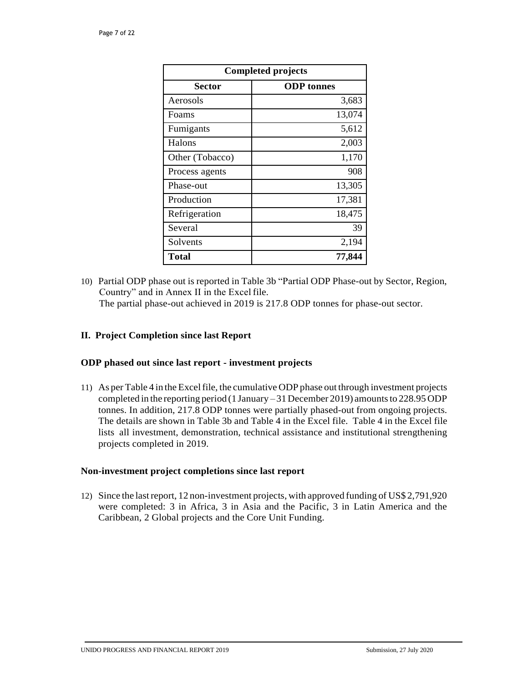| <b>Completed projects</b> |                   |  |
|---------------------------|-------------------|--|
| <b>Sector</b>             | <b>ODP</b> tonnes |  |
| Aerosols                  | 3,683             |  |
| Foams                     | 13,074            |  |
| Fumigants                 | 5,612             |  |
| Halons                    | 2,003             |  |
| Other (Tobacco)           | 1,170             |  |
| Process agents            | 908               |  |
| Phase-out                 | 13,305            |  |
| Production                | 17,381            |  |
| Refrigeration             | 18,475            |  |
| Several                   | 39                |  |
| Solvents                  | 2,194             |  |
| <b>Total</b>              | 77,844            |  |

10) Partial ODP phase out is reported in Table 3b "Partial ODP Phase-out by Sector, Region, Country" and in Annex II in the Excel file.

The partial phase-out achieved in 2019 is 217.8 ODP tonnes for phase-out sector.

## <span id="page-27-0"></span>**II. Project Completion since last Report**

#### <span id="page-27-1"></span>**ODP phased out since last report - investment projects**

11) As per Table 4 in the Excelfile, the cumulative ODP phase out through investment projects completed in the reporting period (1 January  $-31$  December 2019) amounts to 228.95 ODP tonnes. In addition, 217.8 ODP tonnes were partially phased-out from ongoing projects. The details are shown in Table 3b and Table 4 in the Excel file. Table 4 in the Excel file lists all investment, demonstration, technical assistance and institutional strengthening projects completed in 2019.

#### <span id="page-27-2"></span>**Non-investment project completions since last report**

12) Since the lastreport, 12 non-investment projects, with approved funding of US\$ 2,791,920 were completed: 3 in Africa, 3 in Asia and the Pacific, 3 in Latin America and the Caribbean, 2 Global projects and the Core Unit Funding.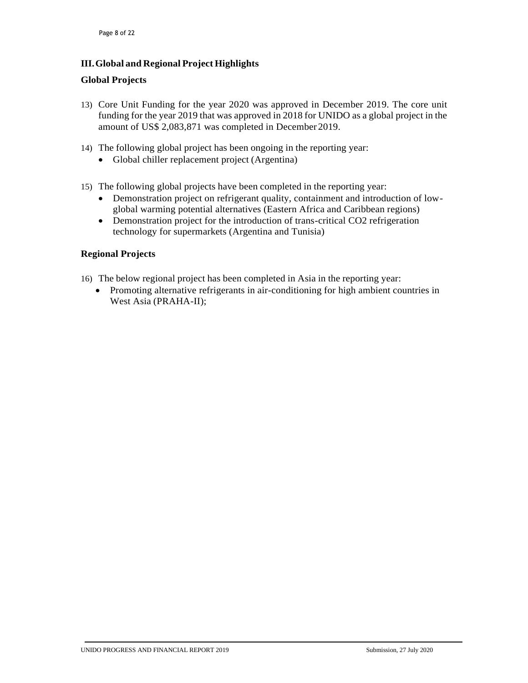## <span id="page-28-0"></span>**III.Global and Regional Project Highlights**

## **Global Projects**

- 13) Core Unit Funding for the year 2020 was approved in December 2019. The core unit funding for the year 2019 that was approved in 2018 for UNIDO as a global project in the amount of US\$ 2,083,871 was completed in December 2019.
- 14) The following global project has been ongoing in the reporting year:
	- Global chiller replacement project (Argentina)
- 15) The following global projects have been completed in the reporting year:
	- Demonstration project on refrigerant quality, containment and introduction of lowglobal warming potential alternatives (Eastern Africa and Caribbean regions)
	- Demonstration project for the introduction of trans-critical CO2 refrigeration technology for supermarkets (Argentina and Tunisia)

## <span id="page-28-1"></span>**Regional Projects**

- 16) The below regional project has been completed in Asia in the reporting year:
	- Promoting alternative refrigerants in air-conditioning for high ambient countries in West Asia (PRAHA-II);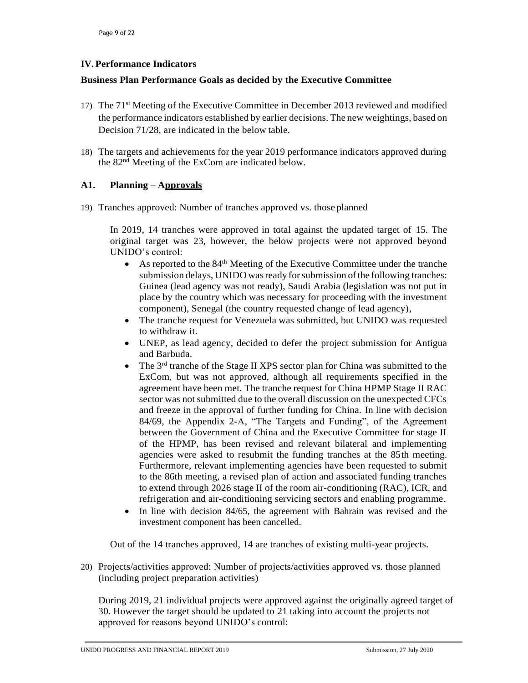## <span id="page-29-0"></span>**IV. Performance Indicators**

## <span id="page-29-1"></span>**Business Plan Performance Goals as decided by the Executive Committee**

- 17) The 71<sup>st</sup> Meeting of the Executive Committee in December 2013 reviewed and modified the performance indicators established by earlier decisions. The new weightings, based on Decision 71/28, are indicated in the below table.
- 18) The targets and achievements for the year 2019 performance indicators approved during the  $82<sup>nd</sup>$  Meeting of the ExCom are indicated below.

## <span id="page-29-2"></span>**A1. Planning – Approvals**

19) Tranches approved: Number of tranches approved vs. those planned

In 2019, 14 tranches were approved in total against the updated target of 15. The original target was 23, however, the below projects were not approved beyond UNIDO's control:

- As reported to the 84<sup>th</sup> Meeting of the Executive Committee under the tranche submission delays, UNIDO was ready for submission of the following tranches: Guinea (lead agency was not ready), Saudi Arabia (legislation was not put in place by the country which was necessary for proceeding with the investment component), Senegal (the country requested change of lead agency),
- The tranche request for Venezuela was submitted, but UNIDO was requested to withdraw it.
- UNEP, as lead agency, decided to defer the project submission for Antigua and Barbuda.
- The 3<sup>rd</sup> tranche of the Stage II XPS sector plan for China was submitted to the ExCom, but was not approved, although all requirements specified in the agreement have been met. The tranche request for China HPMP Stage II RAC sector was not submitted due to the overall discussion on the unexpected CFCs and freeze in the approval of further funding for China. In line with decision 84/69, the Appendix 2-A, "The Targets and Funding", of the Agreement between the Government of China and the Executive Committee for stage II of the HPMP, has been revised and relevant bilateral and implementing agencies were asked to resubmit the funding tranches at the 85th meeting. Furthermore, relevant implementing agencies have been requested to submit to the 86th meeting, a revised plan of action and associated funding tranches to extend through 2026 stage II of the room air-conditioning (RAC), ICR, and refrigeration and air-conditioning servicing sectors and enabling programme.
- In line with decision 84/65, the agreement with Bahrain was revised and the investment component has been cancelled.

Out of the 14 tranches approved, 14 are tranches of existing multi-year projects.

20) Projects/activities approved: Number of projects/activities approved vs. those planned (including project preparation activities)

During 2019, 21 individual projects were approved against the originally agreed target of 30. However the target should be updated to 21 taking into account the projects not approved for reasons beyond UNIDO's control: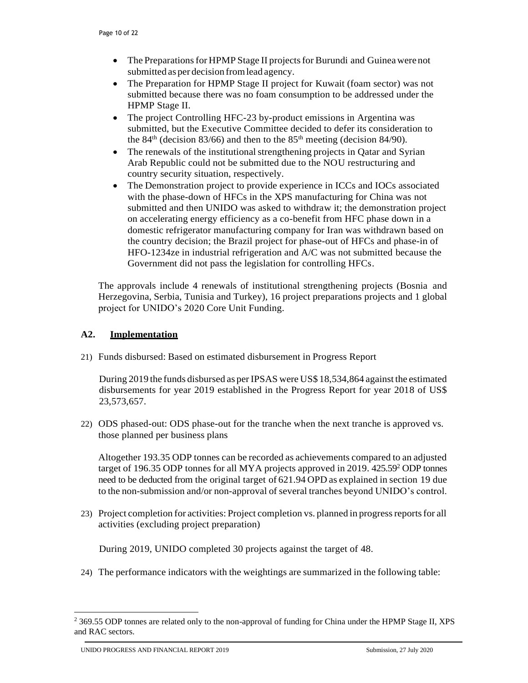- The Preparations for HPMP Stage II projects for Burundi and Guinea were not submitted as per decision fromlead agency.
- The Preparation for HPMP Stage II project for Kuwait (foam sector) was not submitted because there was no foam consumption to be addressed under the HPMP Stage II.
- The project Controlling HFC-23 by-product emissions in Argentina was submitted, but the Executive Committee decided to defer its consideration to the  $84<sup>th</sup>$  (decision  $83/66$ ) and then to the  $85<sup>th</sup>$  meeting (decision  $84/90$ ).
- The renewals of the institutional strengthening projects in Qatar and Syrian Arab Republic could not be submitted due to the NOU restructuring and country security situation, respectively.
- The Demonstration project to provide experience in ICCs and IOCs associated with the phase-down of HFCs in the XPS manufacturing for China was not submitted and then UNIDO was asked to withdraw it; the demonstration project on accelerating energy efficiency as a co-benefit from HFC phase down in a domestic refrigerator manufacturing company for Iran was withdrawn based on the country decision; the Brazil project for phase-out of HFCs and phase-in of HFO-1234ze in industrial refrigeration and A/C was not submitted because the Government did not pass the legislation for controlling HFCs.

The approvals include 4 renewals of institutional strengthening projects (Bosnia and Herzegovina, Serbia, Tunisia and Turkey), 16 project preparations projects and 1 global project for UNIDO's 2020 Core Unit Funding.

## <span id="page-30-0"></span>**A2. Implementation**

21) Funds disbursed: Based on estimated disbursement in Progress Report

During 2019 the funds disbursed as per IPSAS were US\$ 18,534,864 against the estimated disbursements for year 2019 established in the Progress Report for year 2018 of US\$ 23,573,657.

22) ODS phased-out: ODS phase-out for the tranche when the next tranche is approved vs. those planned per business plans

Altogether 193.35 ODP tonnes can be recorded as achievements compared to an adjusted target of 196.35 ODP tonnes for all MYA projects approved in 2019.  $425.59<sup>2</sup>$  ODP tonnes need to be deducted from the original target of 621.94 OPD as explained in section 19 due to the non-submission and/or non-approval of several tranches beyond UNIDO's control.

23) Project completion for activities: Project completion vs. planned in progressreportsfor all activities (excluding project preparation)

During 2019, UNIDO completed 30 projects against the target of 48.

24) The performance indicators with the weightings are summarized in the following table:

l

<sup>&</sup>lt;sup>2</sup> 369.55 ODP tonnes are related only to the non-approval of funding for China under the HPMP Stage II, XPS and RAC sectors.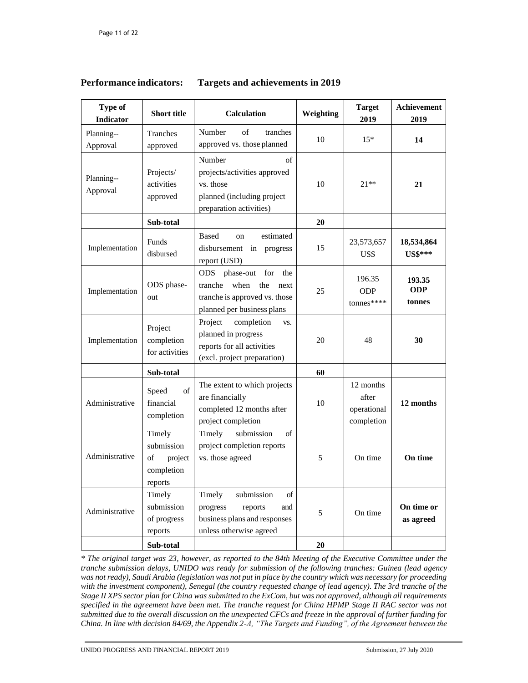## <span id="page-31-0"></span>**Performance indicators: Targets and achievements in 2019**

| <b>Type of</b><br><b>Indicator</b> | <b>Short title</b>                                             | <b>Calculation</b>                                                                                                                  | Weighting | <b>Target</b><br>2019                           | Achievement<br>2019            |
|------------------------------------|----------------------------------------------------------------|-------------------------------------------------------------------------------------------------------------------------------------|-----------|-------------------------------------------------|--------------------------------|
| Planning--<br>Approval             | Tranches<br>approved                                           | of<br>Number<br>tranches<br>approved vs. those planned                                                                              | 10        | $15*$                                           | 14                             |
| Planning--<br>Approval             | Projects/<br>activities<br>approved                            | Number<br>of<br>projects/activities approved<br>vs. those<br>planned (including project<br>preparation activities)                  | 10        | $21**$                                          | 21                             |
|                                    | Sub-total                                                      |                                                                                                                                     | 20        |                                                 |                                |
| Implementation                     | Funds<br>disbursed                                             | Based<br>estimated<br>on<br>disbursement<br>in<br>progress<br>report (USD)                                                          | 15        | 23,573,657<br>US\$                              | 18,534,864<br><b>US\$***</b>   |
| Implementation                     | ODS phase-<br>out                                              | phase-out for<br><b>ODS</b><br>the<br>tranche<br>when<br>the<br>next<br>tranche is approved vs. those<br>planned per business plans | 25        | 196.35<br><b>ODP</b><br>tonnes****              | 193.35<br><b>ODP</b><br>tonnes |
| Implementation                     | Project<br>completion<br>for activities                        | Project<br>completion<br>VS.<br>planned in progress<br>reports for all activities<br>(excl. project preparation)                    | 20        | 48                                              | 30                             |
|                                    | Sub-total                                                      |                                                                                                                                     | 60        |                                                 |                                |
| Administrative                     | $\sigma$ f<br>Speed<br>financial<br>completion                 | The extent to which projects<br>are financially<br>completed 12 months after<br>project completion                                  | 10        | 12 months<br>after<br>operational<br>completion | 12 months                      |
| Administrative                     | Timely<br>submission<br>of<br>project<br>completion<br>reports | Timely<br>submission<br>of<br>project completion reports<br>vs. those agreed                                                        | 5         | On time                                         | On time                        |
| Administrative                     | Timely<br>submission<br>of progress<br>reports                 | Timely<br>submission<br>of<br>reports<br>progress<br>and<br>business plans and responses<br>unless otherwise agreed                 | 5         | On time                                         | On time or<br>as agreed        |
|                                    | Sub-total                                                      |                                                                                                                                     | 20        |                                                 |                                |

*\* The original target was 23, however, as reported to the 84th Meeting of the Executive Committee under the tranche submission delays, UNIDO was ready for submission of the following tranches: Guinea (lead agency was not ready), Saudi Arabia (legislation was not put in place by the country which was necessary for proceeding with the investment component), Senegal (the country requested change of lead agency). The 3rd tranche of the Stage II XPS sector plan for China was submitted to the ExCom, but was not approved, although all requirements specified in the agreement have been met. The tranche request for China HPMP Stage II RAC sector was not submitted due to the overall discussion on the unexpected CFCs and freeze in the approval of further funding for China. In line with decision 84/69, the Appendix 2-A, "The Targets and Funding", of the Agreement between the*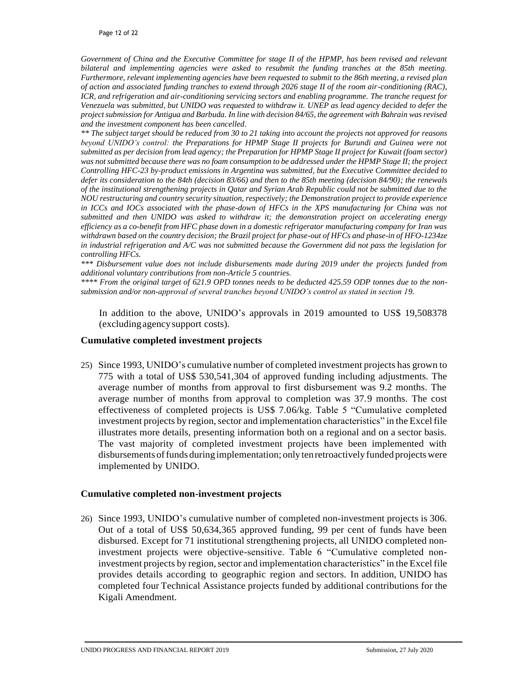*Government of China and the Executive Committee for stage II of the HPMP, has been revised and relevant bilateral and implementing agencies were asked to resubmit the funding tranches at the 85th meeting. Furthermore, relevant implementing agencies have been requested to submit to the 86th meeting, a revised plan of action and associated funding tranches to extend through 2026 stage II of the room air-conditioning (RAC), ICR, and refrigeration and air-conditioning servicing sectors and enabling programme. The tranche request for Venezuela was submitted, but UNIDO was requested to withdraw it. UNEP as lead agency decided to defer the project submission for Antigua and Barbuda. In line with decision 84/65, the agreement with Bahrain was revised and the investment component has been cancelled.*

\*\* The subject target should be reduced from 30 to 21 taking into account the projects not approved for reasons *beyond UNIDO's control: the Preparations for HPMP Stage II projects for Burundi and Guinea were not submitted as per decision from lead agency; the Preparation for HPMP Stage II project for Kuwait (foam sector) was not submitted because there was no foam consumption to be addressed under the HPMP Stage II; the project Controlling HFC-23 by-product emissions in Argentina was submitted, but the Executive Committee decided to defer its consideration to the 84th (decision 83/66) and then to the 85th meeting (decision 84/90); the renewals of the institutional strengthening projects in Qatar and Syrian Arab Republic could not be submitted due to the NOU restructuring and country security situation, respectively; the Demonstration project to provide experience in ICCs and IOCs associated with the phase-down of HFCs in the XPS manufacturing for China was not submitted and then UNIDO was asked to withdraw it; the demonstration project on accelerating energy efficiency as a co-benefit from HFC phase down in a domestic refrigerator manufacturing company for Iran was withdrawn based on the country decision; the Brazil project for phase-out of HFCs and phase-in of HFO-1234ze in industrial refrigeration and A/C was not submitted because the Government did not pass the legislation for controlling HFCs.* 

*\*\*\* Disbursement value does not include disbursements made during 2019 under the projects funded from additional voluntary contributions from non-Article 5 countries.* 

*\*\*\*\* From the original target of 621.9 OPD tonnes needs to be deducted 425.59 ODP tonnes due to the nonsubmission and/or non-approval of several tranches beyond UNIDO's control as stated in section 19.*

In addition to the above, UNIDO's approvals in 2019 amounted to US\$ 19,508378 (excludingagencysupport costs).

#### <span id="page-32-0"></span>**Cumulative completed investment projects**

25) Since 1993, UNIDO's cumulative number of completed investment projects has grown to 775 with a total of US\$ 530,541,304 of approved funding including adjustments. The average number of months from approval to first disbursement was 9.2 months. The average number of months from approval to completion was 37.9 months. The cost effectiveness of completed projects is US\$ 7.06/kg. Table 5 "Cumulative completed investment projects by region, sector and implementation characteristics" in the Excel file illustrates more details, presenting information both on a regional and on a sector basis. The vast majority of completed investment projects have been implemented with disbursements offunds during implementation; only ten retroactively funded projectswere implemented by UNIDO.

#### <span id="page-32-1"></span>**Cumulative completed non-investment projects**

26) Since 1993, UNIDO's cumulative number of completed non-investment projects is 306. Out of a total of US\$ 50,634,365 approved funding, 99 per cent of funds have been disbursed. Except for 71 institutional strengthening projects, all UNIDO completed noninvestment projects were objective-sensitive. Table 6 "Cumulative completed noninvestment projects by region, sector and implementation characteristics" in the Excel file provides details according to geographic region and sectors. In addition, UNIDO has completed four Technical Assistance projects funded by additional contributions for the Kigali Amendment.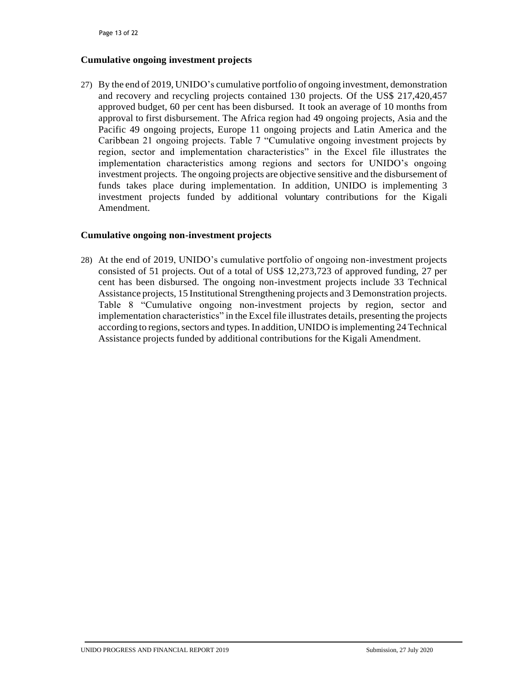#### <span id="page-33-0"></span>**Cumulative ongoing investment projects**

27) By the end of 2019, UNIDO's cumulative portfolio of ongoing investment, demonstration and recovery and recycling projects contained 130 projects. Of the US\$ 217,420,457 approved budget, 60 per cent has been disbursed. It took an average of 10 months from approval to first disbursement. The Africa region had 49 ongoing projects, Asia and the Pacific 49 ongoing projects, Europe 11 ongoing projects and Latin America and the Caribbean 21 ongoing projects. Table 7 "Cumulative ongoing investment projects by region, sector and implementation characteristics" in the Excel file illustrates the implementation characteristics among regions and sectors for UNIDO's ongoing investment projects. The ongoing projects are objective sensitive and the disbursement of funds takes place during implementation. In addition, UNIDO is implementing 3 investment projects funded by additional voluntary contributions for the Kigali Amendment.

## <span id="page-33-1"></span>**Cumulative ongoing non-investment projects**

28) At the end of 2019, UNIDO's cumulative portfolio of ongoing non-investment projects consisted of 51 projects. Out of a total of US\$ 12,273,723 of approved funding, 27 per cent has been disbursed. The ongoing non-investment projects include 33 Technical Assistance projects, 15 Institutional Strengthening projects and 3 Demonstration projects. Table 8 "Cumulative ongoing non-investment projects by region, sector and implementation characteristics" in the Excel file illustrates details, presenting the projects according to regions, sectors and types. In addition, UNIDO is implementing 24 Technical Assistance projects funded by additional contributions for the Kigali Amendment.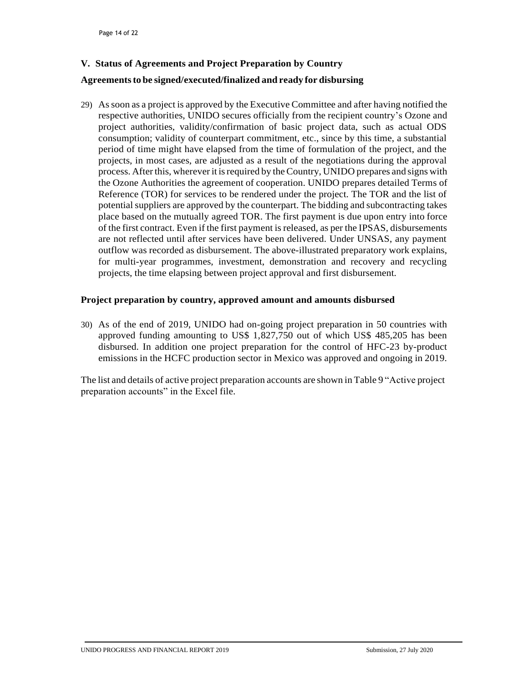## <span id="page-34-0"></span>**V. Status of Agreements and Project Preparation by Country**

### **Agreementsto be signed/executed/finalized and ready for disbursing**

29) Assoon as a project is approved by the Executive Committee and after having notified the respective authorities, UNIDO secures officially from the recipient country's Ozone and project authorities, validity/confirmation of basic project data, such as actual ODS consumption; validity of counterpart commitment, etc., since by this time, a substantial period of time might have elapsed from the time of formulation of the project, and the projects, in most cases, are adjusted as a result of the negotiations during the approval process. After this, wherever it isrequired by theCountry, UNIDO prepares and signs with the Ozone Authorities the agreement of cooperation. UNIDO prepares detailed Terms of Reference (TOR) for services to be rendered under the project. The TOR and the list of potential suppliers are approved by the counterpart. The bidding and subcontracting takes place based on the mutually agreed TOR. The first payment is due upon entry into force of the first contract. Even if the first payment isreleased, as per the IPSAS, disbursements are not reflected until after services have been delivered. Under UNSAS, any payment outflow was recorded as disbursement. The above-illustrated preparatory work explains, for multi-year programmes, investment, demonstration and recovery and recycling projects, the time elapsing between project approval and first disbursement.

## <span id="page-34-1"></span>**Project preparation by country, approved amount and amounts disbursed**

30) As of the end of 2019, UNIDO had on-going project preparation in 50 countries with approved funding amounting to US\$ 1,827,750 out of which US\$ 485,205 has been disbursed. In addition one project preparation for the control of HFC-23 by-product emissions in the HCFC production sector in Mexico was approved and ongoing in 2019.

The list and details of active project preparation accounts are shown in Table 9 "Active project preparation accounts" in the Excel file.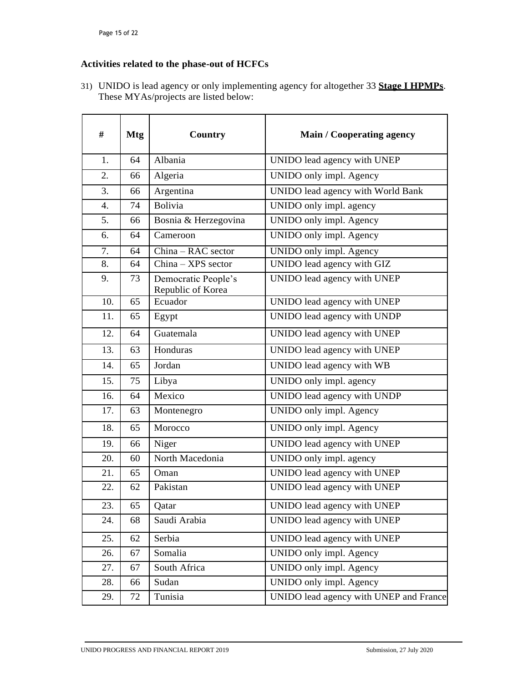## <span id="page-35-0"></span>**Activities related to the phase-out of HCFCs**

31) UNIDO is lead agency or only implementing agency for altogether 33 **Stage I HPMPs**. These MYAs/projects are listed below:

| #                | <b>Mtg</b> | Country                                  | <b>Main / Cooperating agency</b>       |
|------------------|------------|------------------------------------------|----------------------------------------|
| 1.               | 64         | Albania                                  | UNIDO lead agency with UNEP            |
| 2.               | 66         | Algeria                                  | UNIDO only impl. Agency                |
| 3.               | 66         | Argentina                                | UNIDO lead agency with World Bank      |
| $\overline{4}$ . | 74         | <b>Bolivia</b>                           | UNIDO only impl. agency                |
| 5.               | 66         | Bosnia & Herzegovina                     | UNIDO only impl. Agency                |
| 6.               | 64         | Cameroon                                 | UNIDO only impl. Agency                |
| 7.               | 64         | China - RAC sector                       | UNIDO only impl. Agency                |
| 8.               | 64         | China - XPS sector                       | UNIDO lead agency with GIZ             |
| 9.               | 73         | Democratic People's<br>Republic of Korea | UNIDO lead agency with UNEP            |
| 10.              | 65         | Ecuador                                  | UNIDO lead agency with UNEP            |
| 11.              | 65         | Egypt                                    | UNIDO lead agency with UNDP            |
| 12.              | 64         | Guatemala                                | UNIDO lead agency with UNEP            |
| 13.              | 63         | Honduras                                 | UNIDO lead agency with UNEP            |
| 14.              | 65         | Jordan                                   | UNIDO lead agency with WB              |
| 15.              | 75         | Libya                                    | UNIDO only impl. agency                |
| 16.              | 64         | Mexico                                   | UNIDO lead agency with UNDP            |
| 17.              | 63         | Montenegro                               | UNIDO only impl. Agency                |
| 18.              | 65         | Morocco                                  | UNIDO only impl. Agency                |
| 19.              | 66         | Niger                                    | UNIDO lead agency with UNEP            |
| 20.              | 60         | North Macedonia                          | UNIDO only impl. agency                |
| 21.              | 65         | Oman                                     | UNIDO lead agency with UNEP            |
| 22.              | 62         | Pakistan                                 | UNIDO lead agency with UNEP            |
| 23.              | 65         | Qatar                                    | UNIDO lead agency with UNEP            |
| 24.              | 68         | Saudi Arabia                             | UNIDO lead agency with UNEP            |
| 25.              | 62         | Serbia                                   | UNIDO lead agency with UNEP            |
| 26.              | 67         | Somalia                                  | UNIDO only impl. Agency                |
| 27.              | 67         | South Africa                             | UNIDO only impl. Agency                |
| 28.              | 66         | Sudan                                    | UNIDO only impl. Agency                |
| 29.              | 72         | Tunisia                                  | UNIDO lead agency with UNEP and France |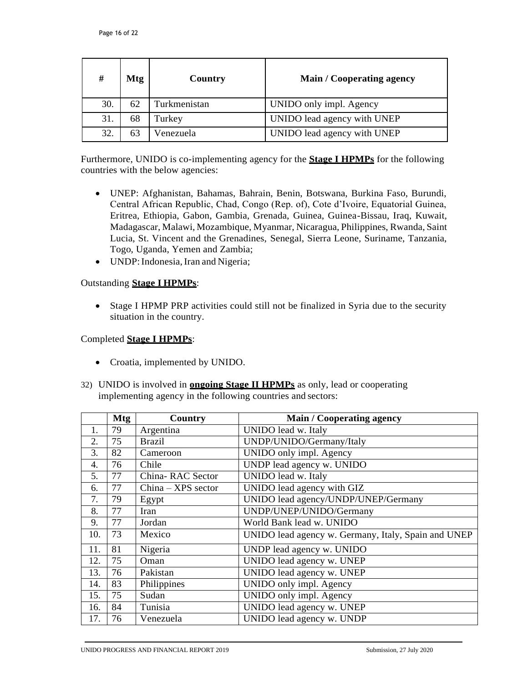| #   | Mtg | <b>Country</b> | Main / Cooperating agency   |
|-----|-----|----------------|-----------------------------|
| 30. | 62  | Turkmenistan   | UNIDO only impl. Agency     |
| 31. | 68  | Turkey         | UNIDO lead agency with UNEP |
| 32. |     | Venezuela      | UNIDO lead agency with UNEP |

Furthermore, UNIDO is co-implementing agency for the **Stage I HPMPs** for the following countries with the below agencies:

- UNEP: Afghanistan, Bahamas, Bahrain, Benin, Botswana, Burkina Faso, Burundi, Central African Republic, Chad, Congo (Rep. of), Cote d'Ivoire, Equatorial Guinea, Eritrea, Ethiopia, Gabon, Gambia, Grenada, Guinea, Guinea-Bissau, Iraq, Kuwait, Madagascar, Malawi, Mozambique, Myanmar, Nicaragua, Philippines, Rwanda, Saint Lucia, St. Vincent and the Grenadines, Senegal, Sierra Leone, Suriname, Tanzania, Togo, Uganda, Yemen and Zambia;
- UNDP: Indonesia, Iran and Nigeria;

## Outstanding **Stage I HPMPs**:

 Stage I HPMP PRP activities could still not be finalized in Syria due to the security situation in the country.

## Completed **Stage I HPMPs**:

- Croatia, implemented by UNIDO.
- 32) UNIDO is involved in **ongoing Stage II HPMPs** as only, lead or cooperating implementing agency in the following countries and sectors:

|     | <b>Mtg</b> | Country            | Main / Cooperating agency                           |
|-----|------------|--------------------|-----------------------------------------------------|
| 1.  | 79         | Argentina          | UNIDO lead w. Italy                                 |
| 2.  | 75         | <b>Brazil</b>      | UNDP/UNIDO/Germany/Italy                            |
| 3.  | 82         | Cameroon           | UNIDO only impl. Agency                             |
| 4.  | 76         | Chile              | UNDP lead agency w. UNIDO                           |
| 5.  | 77         | China-RAC Sector   | UNIDO lead w. Italy                                 |
| 6.  | 77         | China - XPS sector | UNIDO lead agency with GIZ                          |
| 7.  | 79         | Egypt              | UNIDO lead agency/UNDP/UNEP/Germany                 |
| 8.  | 77         | Iran               | UNDP/UNEP/UNIDO/Germany                             |
| 9.  | 77         | Jordan             | World Bank lead w. UNIDO                            |
| 10. | 73         | Mexico             | UNIDO lead agency w. Germany, Italy, Spain and UNEP |
| 11. | 81         | Nigeria            | UNDP lead agency w. UNIDO                           |
| 12. | 75         | Oman               | UNIDO lead agency w. UNEP                           |
| 13. | 76         | Pakistan           | UNIDO lead agency w. UNEP                           |
| 14. | 83         | Philippines        | UNIDO only impl. Agency                             |
| 15. | 75         | Sudan              | UNIDO only impl. Agency                             |
| 16. | 84         | Tunisia            | UNIDO lead agency w. UNEP                           |
| 17. | 76         | Venezuela          | UNIDO lead agency w. UNDP                           |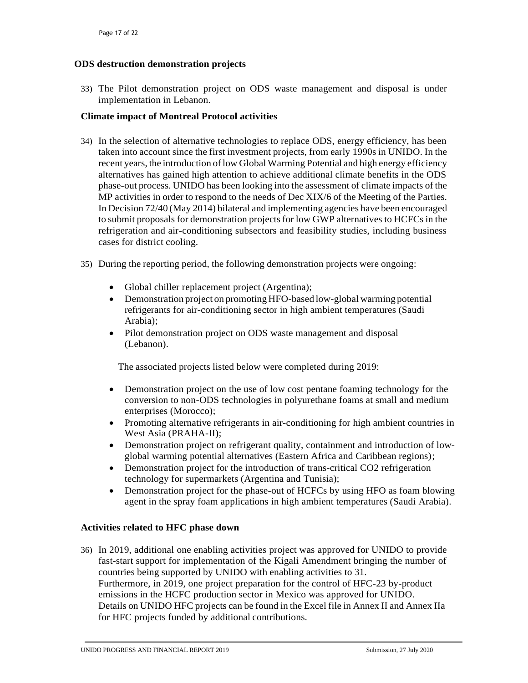## <span id="page-37-0"></span>**ODS destruction demonstration projects**

33) The Pilot demonstration project on ODS waste management and disposal is under implementation in Lebanon.

## <span id="page-37-1"></span>**Climate impact of Montreal Protocol activities**

- 34) In the selection of alternative technologies to replace ODS, energy efficiency, has been taken into account since the first investment projects, from early 1990s in UNIDO. In the recent years, the introduction oflow Global Warming Potential and high energy efficiency alternatives has gained high attention to achieve additional climate benefits in the ODS phase-out process. UNIDO has been looking into the assessment of climate impacts of the MP activities in order to respond to the needs of Dec XIX/6 of the Meeting of the Parties. In Decision 72/40 (May 2014) bilateral and implementing agencies have been encouraged to submit proposals for demonstration projectsfor low GWP alternatives to HCFCs in the refrigeration and air-conditioning subsectors and feasibility studies, including business cases for district cooling.
- 35) During the reporting period, the following demonstration projects were ongoing:
	- Global chiller replacement project (Argentina);
	- Demonstration project on promoting HFO-based low-global warming potential refrigerants for air-conditioning sector in high ambient temperatures (Saudi Arabia);
	- Pilot demonstration project on ODS waste management and disposal (Lebanon).

The associated projects listed below were completed during 2019:

- Demonstration project on the use of low cost pentane foaming technology for the conversion to non-ODS technologies in polyurethane foams at small and medium enterprises (Morocco);
- Promoting alternative refrigerants in air-conditioning for high ambient countries in West Asia (PRAHA-II);
- Demonstration project on refrigerant quality, containment and introduction of lowglobal warming potential alternatives (Eastern Africa and Caribbean regions);
- Demonstration project for the introduction of trans-critical CO2 refrigeration technology for supermarkets (Argentina and Tunisia);
- Demonstration project for the phase-out of HCFCs by using HFO as foam blowing agent in the spray foam applications in high ambient temperatures (Saudi Arabia).

## <span id="page-37-2"></span>**Activities related to HFC phase down**

36) In 2019, additional one enabling activities project was approved for UNIDO to provide fast-start support for implementation of the Kigali Amendment bringing the number of countries being supported by UNIDO with enabling activities to 31. Furthermore, in 2019, one project preparation for the control of HFC-23 by-product emissions in the HCFC production sector in Mexico was approved for UNIDO. Details on UNIDO HFC projects can be found in the Excel file in Annex II and Annex IIa for HFC projects funded by additional contributions.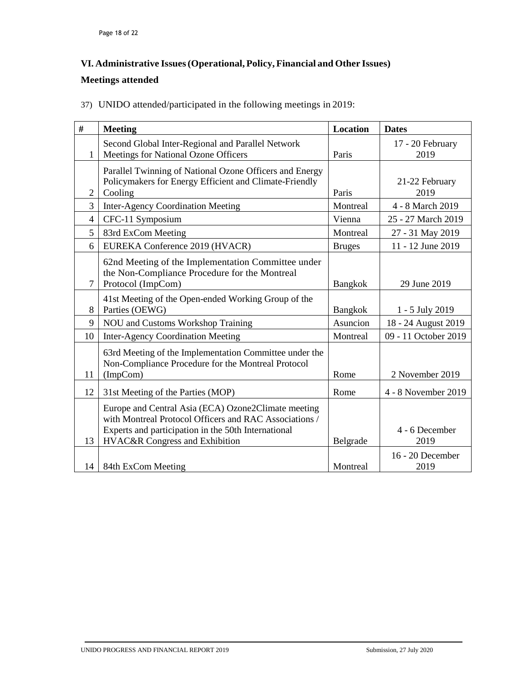## <span id="page-38-0"></span>**VI. Administrative Issues(Operational, Policy, Financial and Other Issues)**

## **Meetings attended**

37) UNIDO attended/participated in the following meetings in 2019:

| $\#$         | <b>Meeting</b>                                          | <b>Location</b> | <b>Dates</b>         |
|--------------|---------------------------------------------------------|-----------------|----------------------|
|              | Second Global Inter-Regional and Parallel Network       |                 | 17 - 20 February     |
| $\mathbf{1}$ | Meetings for National Ozone Officers                    | Paris           | 2019                 |
|              | Parallel Twinning of National Ozone Officers and Energy |                 |                      |
|              | Policymakers for Energy Efficient and Climate-Friendly  |                 | 21-22 February       |
| 2            | Cooling                                                 | Paris           | 2019                 |
| 3            | <b>Inter-Agency Coordination Meeting</b>                | Montreal        | 4 - 8 March 2019     |
| 4            | CFC-11 Symposium                                        | Vienna          | 25 - 27 March 2019   |
| 5            | 83rd ExCom Meeting                                      | Montreal        | 27 - 31 May 2019     |
| 6            | EUREKA Conference 2019 (HVACR)                          | <b>Bruges</b>   | 11 - 12 June 2019    |
|              | 62nd Meeting of the Implementation Committee under      |                 |                      |
|              | the Non-Compliance Procedure for the Montreal           |                 |                      |
| 7            | Protocol (ImpCom)                                       | <b>Bangkok</b>  | 29 June 2019         |
|              | 41st Meeting of the Open-ended Working Group of the     |                 |                      |
| 8            | Parties (OEWG)                                          | Bangkok         | 1 - 5 July 2019      |
| 9            | NOU and Customs Workshop Training                       | Asuncion        | 18 - 24 August 2019  |
| 10           | <b>Inter-Agency Coordination Meeting</b>                | Montreal        | 09 - 11 October 2019 |
|              | 63rd Meeting of the Implementation Committee under the  |                 |                      |
|              | Non-Compliance Procedure for the Montreal Protocol      |                 |                      |
| 11           | (ImpCom)                                                | Rome            | 2 November 2019      |
| 12           | 31st Meeting of the Parties (MOP)                       | Rome            | 4 - 8 November 2019  |
|              | Europe and Central Asia (ECA) Ozone2Climate meeting     |                 |                      |
|              | with Montreal Protocol Officers and RAC Associations /  |                 |                      |
|              | Experts and participation in the 50th International     |                 | 4 - 6 December       |
| 13           | HVAC&R Congress and Exhibition                          | Belgrade        | 2019                 |
|              |                                                         |                 | 16 - 20 December     |
| 14           | 84th ExCom Meeting                                      | Montreal        | 2019                 |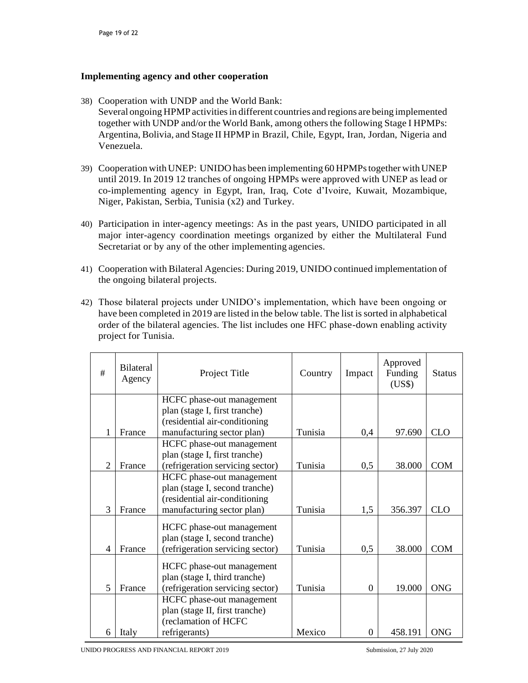### <span id="page-39-0"></span>**Implementing agency and other cooperation**

- 38) Cooperation with UNDP and the World Bank: Several ongoing HPMP activitiesin different countries and regions are being implemented together with UNDP and/or the World Bank, among others the following Stage I HPMPs: Argentina, Bolivia, and Stage II HPMP in Brazil, Chile, Egypt, Iran, Jordan, Nigeria and Venezuela.
- 39) Cooperation with UNEP: UNIDO has been implementing 60 HPMPstogether with UNEP until 2019. In 2019 12 tranches of ongoing HPMPs were approved with UNEP as lead or co-implementing agency in Egypt, Iran, Iraq, Cote d'Ivoire, Kuwait, Mozambique, Niger, Pakistan, Serbia, Tunisia (x2) and Turkey.
- 40) Participation in inter-agency meetings: As in the past years, UNIDO participated in all major inter-agency coordination meetings organized by either the Multilateral Fund Secretariat or by any of the other implementing agencies.
- 41) Cooperation with Bilateral Agencies: During 2019, UNIDO continued implementation of the ongoing bilateral projects.
- 42) Those bilateral projects under UNIDO's implementation, which have been ongoing or have been completed in 2019 are listed in the below table. The list issorted in alphabetical order of the bilateral agencies. The list includes one HFC phase-down enabling activity project for Tunisia.

| #              | <b>Bilateral</b><br>Agency | Project Title                    | Country | Impact         | Approved<br>Funding<br>(US\$) | <b>Status</b> |
|----------------|----------------------------|----------------------------------|---------|----------------|-------------------------------|---------------|
|                |                            | HCFC phase-out management        |         |                |                               |               |
|                |                            | plan (stage I, first tranche)    |         |                |                               |               |
|                |                            | (residential air-conditioning    |         |                |                               |               |
| 1              | France                     | manufacturing sector plan)       | Tunisia | 0,4            | 97.690                        | <b>CLO</b>    |
|                |                            | HCFC phase-out management        |         |                |                               |               |
|                |                            | plan (stage I, first tranche)    |         |                |                               |               |
| $\overline{2}$ | France                     | (refrigeration servicing sector) | Tunisia | 0,5            | 38.000                        | <b>COM</b>    |
|                |                            | HCFC phase-out management        |         |                |                               |               |
|                |                            | plan (stage I, second tranche)   |         |                |                               |               |
|                |                            | (residential air-conditioning    |         |                |                               |               |
| 3              | France                     | manufacturing sector plan)       | Tunisia | 1,5            | 356.397                       | <b>CLO</b>    |
|                |                            | HCFC phase-out management        |         |                |                               |               |
|                |                            | plan (stage I, second tranche)   |         |                |                               |               |
| $\overline{4}$ | France                     | (refrigeration servicing sector) | Tunisia | 0,5            | 38.000                        | <b>COM</b>    |
|                |                            | HCFC phase-out management        |         |                |                               |               |
|                |                            | plan (stage I, third tranche)    |         |                |                               |               |
| $\overline{5}$ | France                     | (refrigeration servicing sector) | Tunisia | $\overline{0}$ | 19.000                        | <b>ONG</b>    |
|                |                            | HCFC phase-out management        |         |                |                               |               |
|                |                            | plan (stage II, first tranche)   |         |                |                               |               |
|                |                            | (reclamation of HCFC             |         |                |                               |               |
| 6              | Italy                      | refrigerants)                    | Mexico  | $\theta$       | 458.191                       | ONG           |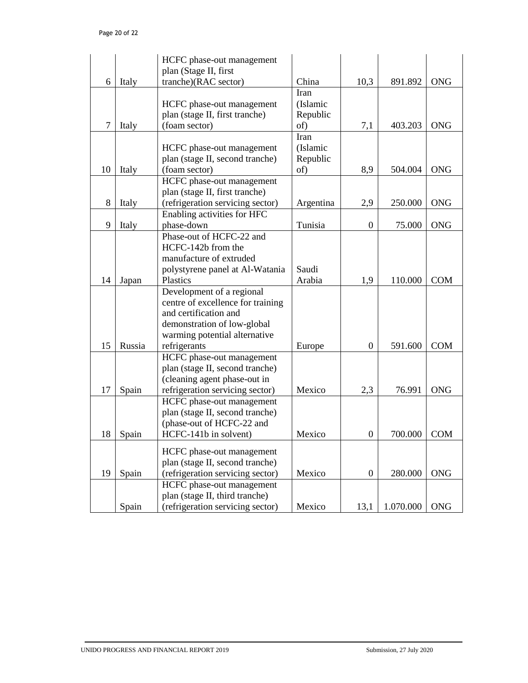|    |        | HCFC phase-out management                                                                                                                                                                  |                                     |                  |           |            |
|----|--------|--------------------------------------------------------------------------------------------------------------------------------------------------------------------------------------------|-------------------------------------|------------------|-----------|------------|
| 6  | Italy  | plan (Stage II, first<br>tranche)(RAC sector)                                                                                                                                              | China                               | 10,3             | 891.892   | <b>ONG</b> |
|    |        | HCFC phase-out management<br>plan (stage II, first tranche)                                                                                                                                | Iran<br>(Islamic<br>Republic        |                  |           |            |
| 7  | Italy  | (foam sector)                                                                                                                                                                              | of)                                 | 7,1              | 403.203   | <b>ONG</b> |
| 10 | Italy  | HCFC phase-out management<br>plan (stage II, second tranche)<br>(foam sector)                                                                                                              | Iran<br>(Islamic<br>Republic<br>of) | 8,9              | 504.004   | <b>ONG</b> |
|    |        | HCFC phase-out management                                                                                                                                                                  |                                     |                  |           |            |
| 8  | Italy  | plan (stage II, first tranche)<br>(refrigeration servicing sector)                                                                                                                         | Argentina                           | 2,9              | 250.000   | <b>ONG</b> |
| 9  | Italy  | Enabling activities for HFC<br>phase-down                                                                                                                                                  | Tunisia                             | $\boldsymbol{0}$ | 75.000    | <b>ONG</b> |
| 14 | Japan  | Phase-out of HCFC-22 and<br>HCFC-142b from the<br>manufacture of extruded<br>polystyrene panel at Al-Watania<br>Plastics<br>Development of a regional<br>centre of excellence for training | Saudi<br>Arabia                     | 1,9              | 110.000   | <b>COM</b> |
| 15 | Russia | and certification and<br>demonstration of low-global<br>warming potential alternative<br>refrigerants                                                                                      | Europe                              | $\boldsymbol{0}$ | 591.600   | <b>COM</b> |
| 17 | Spain  | HCFC phase-out management<br>plan (stage II, second tranche)<br>(cleaning agent phase-out in<br>refrigeration servicing sector)                                                            | Mexico                              | 2,3              | 76.991    | <b>ONG</b> |
| 18 | Spain  | HCFC phase-out management<br>plan (stage II, second tranche)<br>(phase-out of HCFC-22 and<br>HCFC-141b in solvent)                                                                         | Mexico                              | $\boldsymbol{0}$ | 700.000   | <b>COM</b> |
| 19 | Spain  | HCFC phase-out management<br>plan (stage II, second tranche)<br>(refrigeration servicing sector)                                                                                           | Mexico                              | $\boldsymbol{0}$ | 280.000   | <b>ONG</b> |
|    | Spain  | HCFC phase-out management<br>plan (stage II, third tranche)<br>(refrigeration servicing sector)                                                                                            | Mexico                              | 13,1             | 1.070.000 | <b>ONG</b> |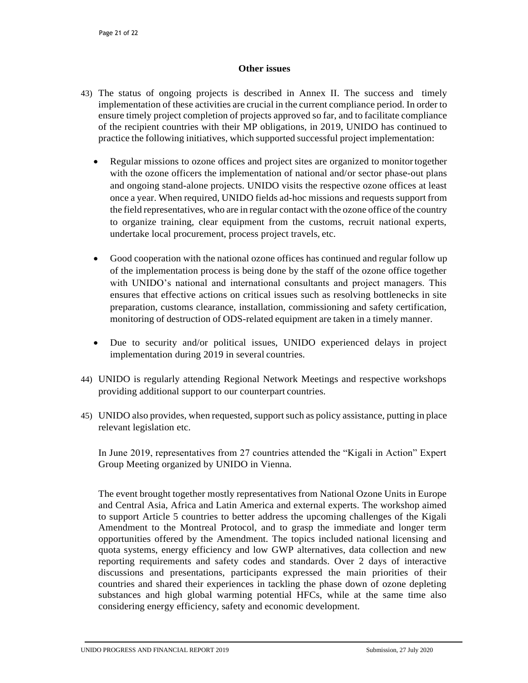#### **Other issues**

- <span id="page-41-0"></span>43) The status of ongoing projects is described in Annex II. The success and timely implementation of these activities are crucial in the current compliance period. In order to ensure timely project completion of projects approved so far, and to facilitate compliance of the recipient countries with their MP obligations, in 2019, UNIDO has continued to practice the following initiatives, which supported successful project implementation:
	- Regular missions to ozone offices and project sites are organized to monitortogether with the ozone officers the implementation of national and/or sector phase-out plans and ongoing stand-alone projects. UNIDO visits the respective ozone offices at least once a year. When required, UNIDO fields ad-hoc missions and requests support from the field representatives, who are in regular contact with the ozone office of the country to organize training, clear equipment from the customs, recruit national experts, undertake local procurement, process project travels, etc.
	- Good cooperation with the national ozone offices has continued and regular follow up of the implementation process is being done by the staff of the ozone office together with UNIDO's national and international consultants and project managers. This ensures that effective actions on critical issues such as resolving bottlenecks in site preparation, customs clearance, installation, commissioning and safety certification, monitoring of destruction of ODS-related equipment are taken in a timely manner.
	- Due to security and/or political issues, UNIDO experienced delays in project implementation during 2019 in several countries.
- 44) UNIDO is regularly attending Regional Network Meetings and respective workshops providing additional support to our counterpart countries.
- 45) UNIDO also provides, when requested, support such as policy assistance, putting in place relevant legislation etc.

In June 2019, representatives from 27 countries attended the "Kigali in Action" Expert Group Meeting organized by UNIDO in Vienna.

The event brought together mostly representatives from National Ozone Units in Europe and Central Asia, Africa and Latin America and external experts. The workshop aimed to support Article 5 countries to better address the upcoming challenges of the Kigali Amendment to the Montreal Protocol, and to grasp the immediate and longer term opportunities offered by the Amendment. The topics included national licensing and quota systems, energy efficiency and low GWP alternatives, data collection and new reporting requirements and safety codes and standards. Over 2 days of interactive discussions and presentations, participants expressed the main priorities of their countries and shared their experiences in tackling the phase down of ozone depleting substances and high global warming potential HFCs, while at the same time also considering energy efficiency, safety and economic development.